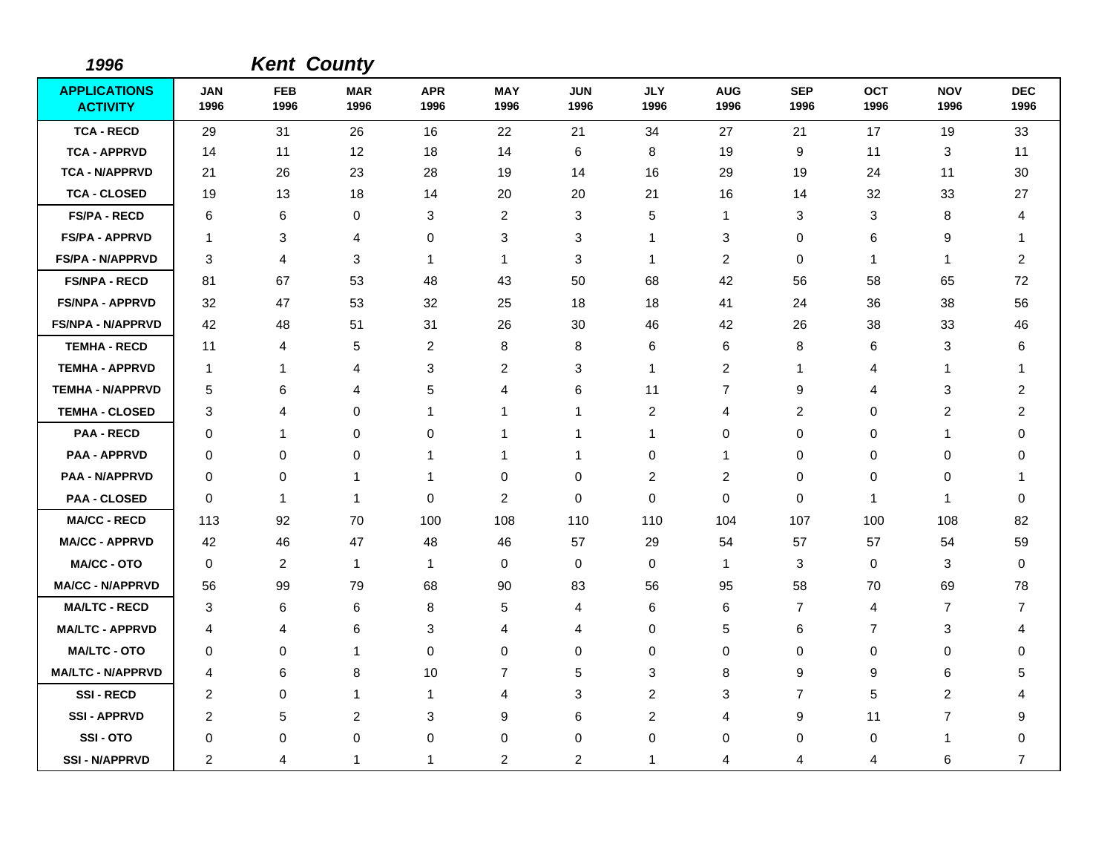| 1996                                   |                         |                    | <b>Kent County</b> |                    |                    |                    |                    |                    |                    |                    |                    |                    |
|----------------------------------------|-------------------------|--------------------|--------------------|--------------------|--------------------|--------------------|--------------------|--------------------|--------------------|--------------------|--------------------|--------------------|
| <b>APPLICATIONS</b><br><b>ACTIVITY</b> | JAN<br>1996             | <b>FEB</b><br>1996 | <b>MAR</b><br>1996 | <b>APR</b><br>1996 | <b>MAY</b><br>1996 | <b>JUN</b><br>1996 | <b>JLY</b><br>1996 | <b>AUG</b><br>1996 | <b>SEP</b><br>1996 | <b>OCT</b><br>1996 | <b>NOV</b><br>1996 | <b>DEC</b><br>1996 |
| <b>TCA - RECD</b>                      | 29                      | 31                 | 26                 | 16                 | 22                 | 21                 | 34                 | 27                 | 21                 | 17                 | 19                 | 33                 |
| <b>TCA - APPRVD</b>                    | 14                      | 11                 | 12                 | 18                 | 14                 | 6                  | 8                  | 19                 | 9                  | 11                 | 3                  | 11                 |
| <b>TCA - N/APPRVD</b>                  | 21                      | 26                 | 23                 | 28                 | 19                 | 14                 | 16                 | 29                 | 19                 | 24                 | 11                 | 30                 |
| <b>TCA - CLOSED</b>                    | 19                      | 13                 | 18                 | 14                 | 20                 | 20                 | 21                 | 16                 | 14                 | 32                 | 33                 | 27                 |
| <b>FS/PA - RECD</b>                    | 6                       | 6                  | 0                  | 3                  | $\overline{2}$     | 3                  | 5                  | $\mathbf{1}$       | 3                  | 3                  | 8                  | 4                  |
| <b>FS/PA - APPRVD</b>                  | $\mathbf 1$             | 3                  | $\overline{4}$     | 0                  | 3                  | 3                  | 1                  | 3                  | 0                  | 6                  | 9                  | 1                  |
| <b>FS/PA - N/APPRVD</b>                | 3                       | 4                  | 3                  | $\mathbf{1}$       | $\mathbf{1}$       | 3                  | 1                  | $\overline{c}$     | $\mathbf 0$        | $\mathbf{1}$       | 1                  | $\overline{c}$     |
| <b>FS/NPA - RECD</b>                   | 81                      | 67                 | 53                 | 48                 | 43                 | 50                 | 68                 | 42                 | 56                 | 58                 | 65                 | 72                 |
| <b>FS/NPA - APPRVD</b>                 | 32                      | 47                 | 53                 | 32                 | 25                 | 18                 | 18                 | 41                 | 24                 | 36                 | 38                 | 56                 |
| <b>FS/NPA - N/APPRVD</b>               | 42                      | 48                 | 51                 | 31                 | 26                 | 30                 | 46                 | 42                 | 26                 | 38                 | 33                 | 46                 |
| <b>TEMHA - RECD</b>                    | 11                      | 4                  | 5                  | $\overline{2}$     | 8                  | 8                  | 6                  | 6                  | 8                  | 6                  | 3                  | 6                  |
| <b>TEMHA - APPRVD</b>                  | $\mathbf 1$             | $\mathbf{1}$       | 4                  | 3                  | $\overline{2}$     | 3                  | $\mathbf{1}$       | 2                  | $\mathbf{1}$       | 4                  | $\mathbf{1}$       | -1                 |
| <b>TEMHA - N/APPRVD</b>                | 5                       | 6                  | $\overline{4}$     | 5                  | 4                  | 6                  | 11                 | $\overline{7}$     | 9                  | 4                  | 3                  | 2                  |
| <b>TEMHA - CLOSED</b>                  | 3                       | 4                  | 0                  | $\mathbf 1$        | $\mathbf 1$        | 1                  | 2                  | 4                  | 2                  | 0                  | 2                  | 2                  |
| <b>PAA - RECD</b>                      | $\Omega$                | 1                  | $\Omega$           | $\Omega$           | $\mathbf{1}$       | $\mathbf{1}$       | $\mathbf 1$        | $\mathbf 0$        | $\Omega$           | 0                  | 1                  | $\Omega$           |
| <b>PAA - APPRVD</b>                    | 0                       | 0                  | 0                  | $\mathbf 1$        | $\mathbf{1}$       | 1                  | 0                  | $\overline{1}$     | 0                  | 0                  | 0                  | 0                  |
| <b>PAA - N/APPRVD</b>                  | 0                       | 0                  | $\mathbf{1}$       | $\mathbf{1}$       | 0                  | 0                  | 2                  | $\overline{c}$     | 0                  | 0                  | 0                  | 1                  |
| <b>PAA - CLOSED</b>                    | 0                       | $\mathbf{1}$       | $\mathbf{1}$       | 0                  | $\overline{2}$     | 0                  | 0                  | 0                  | 0                  | $\mathbf{1}$       | $\mathbf{1}$       | 0                  |
| <b>MA/CC - RECD</b>                    | 113                     | 92                 | 70                 | 100                | 108                | 110                | 110                | 104                | 107                | 100                | 108                | 82                 |
| <b>MA/CC - APPRVD</b>                  | 42                      | 46                 | 47                 | 48                 | 46                 | 57                 | 29                 | 54                 | 57                 | 57                 | 54                 | 59                 |
| <b>MA/CC - OTO</b>                     | 0                       | $\overline{c}$     | $\mathbf{1}$       | $\mathbf{1}$       | 0                  | $\pmb{0}$          | 0                  | $\mathbf{1}$       | $\mathbf{3}$       | 0                  | 3                  | 0                  |
| <b>MA/CC - N/APPRVD</b>                | 56                      | 99                 | 79                 | 68                 | 90                 | 83                 | 56                 | 95                 | 58                 | 70                 | 69                 | 78                 |
| <b>MA/LTC - RECD</b>                   | 3                       | 6                  | 6                  | 8                  | 5                  | 4                  | 6                  | 6                  | 7                  | 4                  | 7                  | 7                  |
| <b>MA/LTC - APPRVD</b>                 | 4                       | 4                  | 6                  | 3                  | 4                  | 4                  | 0                  | 5                  | 6                  | $\overline{7}$     | 3                  | 4                  |
| <b>MA/LTC - OTO</b>                    | 0                       | 0                  | $\mathbf{1}$       | 0                  | 0                  | 0                  | 0                  | 0                  | 0                  | 0                  | 0                  | 0                  |
| <b>MA/LTC - N/APPRVD</b>               | 4                       | 6                  | 8                  | 10                 | $\overline{7}$     | 5                  | 3                  | 8                  | 9                  | 9                  | 6                  | 5                  |
| <b>SSI-RECD</b>                        | 2                       | 0                  | $\mathbf{1}$       | $\mathbf{1}$       | $\overline{4}$     | 3                  | 2                  | 3                  | $\overline{7}$     | 5                  | $\overline{2}$     | 4                  |
| <b>SSI - APPRVD</b>                    | $\overline{\mathbf{c}}$ | 5                  | $\overline{c}$     | 3                  | 9                  | 6                  | $\overline{c}$     | 4                  | 9                  | 11                 | $\overline{7}$     | 9                  |
| SSI-OTO                                | 0                       | 0                  | $\mathbf 0$        | 0                  | 0                  | 0                  | 0                  | 0                  | 0                  | 0                  | $\mathbf{1}$       | 0                  |
| <b>SSI - N/APPRVD</b>                  | 2                       | 4                  | 1                  | 1                  | $\overline{c}$     | $\overline{c}$     | 1                  | 4                  | 4                  | 4                  | 6                  | $\overline{7}$     |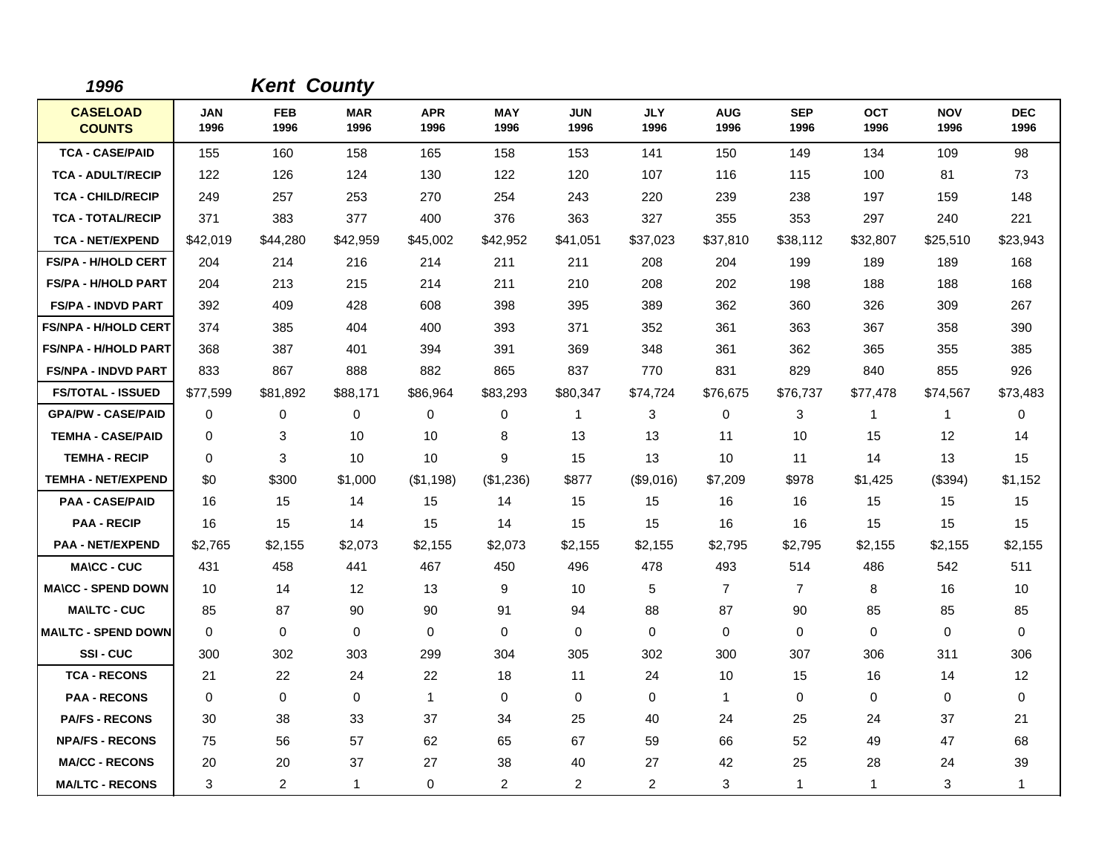| 1996                             |                    | <b>Kent County</b> |                    |                    |                    |                    |                    |                    |                    |                    |                    |                    |
|----------------------------------|--------------------|--------------------|--------------------|--------------------|--------------------|--------------------|--------------------|--------------------|--------------------|--------------------|--------------------|--------------------|
| <b>CASELOAD</b><br><b>COUNTS</b> | <b>JAN</b><br>1996 | <b>FEB</b><br>1996 | <b>MAR</b><br>1996 | <b>APR</b><br>1996 | <b>MAY</b><br>1996 | <b>JUN</b><br>1996 | <b>JLY</b><br>1996 | <b>AUG</b><br>1996 | <b>SEP</b><br>1996 | <b>OCT</b><br>1996 | <b>NOV</b><br>1996 | <b>DEC</b><br>1996 |
| <b>TCA - CASE/PAID</b>           | 155                | 160                | 158                | 165                | 158                | 153                | 141                | 150                | 149                | 134                | 109                | 98                 |
| <b>TCA - ADULT/RECIP</b>         | 122                | 126                | 124                | 130                | 122                | 120                | 107                | 116                | 115                | 100                | 81                 | 73                 |
| <b>TCA - CHILD/RECIP</b>         | 249                | 257                | 253                | 270                | 254                | 243                | 220                | 239                | 238                | 197                | 159                | 148                |
| <b>TCA - TOTAL/RECIP</b>         | 371                | 383                | 377                | 400                | 376                | 363                | 327                | 355                | 353                | 297                | 240                | 221                |
| <b>TCA - NET/EXPEND</b>          | \$42,019           | \$44,280           | \$42,959           | \$45,002           | \$42,952           | \$41,051           | \$37,023           | \$37,810           | \$38,112           | \$32,807           | \$25,510           | \$23,943           |
| <b>FS/PA - H/HOLD CERT</b>       | 204                | 214                | 216                | 214                | 211                | 211                | 208                | 204                | 199                | 189                | 189                | 168                |
| <b>FS/PA - H/HOLD PART</b>       | 204                | 213                | 215                | 214                | 211                | 210                | 208                | 202                | 198                | 188                | 188                | 168                |
| <b>FS/PA - INDVD PART</b>        | 392                | 409                | 428                | 608                | 398                | 395                | 389                | 362                | 360                | 326                | 309                | 267                |
| <b>FS/NPA - H/HOLD CERT</b>      | 374                | 385                | 404                | 400                | 393                | 371                | 352                | 361                | 363                | 367                | 358                | 390                |
| <b>FS/NPA - H/HOLD PART</b>      | 368                | 387                | 401                | 394                | 391                | 369                | 348                | 361                | 362                | 365                | 355                | 385                |
| <b>FS/NPA - INDVD PART</b>       | 833                | 867                | 888                | 882                | 865                | 837                | 770                | 831                | 829                | 840                | 855                | 926                |
| <b>FS/TOTAL - ISSUED</b>         | \$77,599           | \$81,892           | \$88,171           | \$86,964           | \$83,293           | \$80,347           | \$74,724           | \$76,675           | \$76,737           | \$77,478           | \$74,567           | \$73,483           |
| <b>GPA/PW - CASE/PAID</b>        | 0                  | 0                  | 0                  | 0                  | 0                  | 1                  | 3                  | 0                  | 3                  | $\mathbf{1}$       | $\mathbf{1}$       | 0                  |
| <b>TEMHA - CASE/PAID</b>         | $\Omega$           | 3                  | 10                 | 10                 | 8                  | 13                 | 13                 | 11                 | 10                 | 15                 | 12                 | 14                 |
| <b>TEMHA - RECIP</b>             | 0                  | 3                  | 10                 | 10                 | 9                  | 15                 | 13                 | 10                 | 11                 | 14                 | 13                 | 15                 |
| <b>TEMHA - NET/EXPEND</b>        | \$0                | \$300              | \$1,000            | (\$1,198)          | (\$1,236)          | \$877              | (\$9,016)          | \$7,209            | \$978              | \$1,425            | (\$394)            | \$1,152            |
| <b>PAA - CASE/PAID</b>           | 16                 | 15                 | 14                 | 15                 | 14                 | 15                 | 15                 | 16                 | 16                 | 15                 | 15                 | 15                 |
| <b>PAA - RECIP</b>               | 16                 | 15                 | 14                 | 15                 | 14                 | 15                 | 15                 | 16                 | 16                 | 15                 | 15                 | 15                 |
| <b>PAA - NET/EXPEND</b>          | \$2,765            | \$2,155            | \$2,073            | \$2,155            | \$2,073            | \$2,155            | \$2,155            | \$2,795            | \$2,795            | \$2,155            | \$2,155            | \$2,155            |
| <b>MA\CC - CUC</b>               | 431                | 458                | 441                | 467                | 450                | 496                | 478                | 493                | 514                | 486                | 542                | 511                |
| <b>MA\CC - SPEND DOWN</b>        | 10                 | 14                 | 12                 | 13                 | 9                  | 10                 | 5                  | $\overline{7}$     | $\overline{7}$     | 8                  | 16                 | 10                 |
| <b>MA\LTC - CUC</b>              | 85                 | 87                 | 90                 | 90                 | 91                 | 94                 | 88                 | 87                 | 90                 | 85                 | 85                 | 85                 |
| <b>MA\LTC - SPEND DOWN</b>       | $\mathbf 0$        | 0                  | $\mathbf 0$        | $\mathbf 0$        | $\mathbf 0$        | $\mathbf 0$        | $\mathbf 0$        | $\mathbf 0$        | $\mathbf 0$        | 0                  | $\mathbf 0$        | $\mathbf 0$        |
| SSI-CUC                          | 300                | 302                | 303                | 299                | 304                | 305                | 302                | 300                | 307                | 306                | 311                | 306                |
| <b>TCA - RECONS</b>              | 21                 | 22                 | 24                 | 22                 | 18                 | 11                 | 24                 | 10                 | 15                 | 16                 | 14                 | 12                 |
| <b>PAA - RECONS</b>              | 0                  | 0                  | $\mathbf 0$        | $\mathbf{1}$       | 0                  | $\mathbf 0$        | 0                  | 1                  | 0                  | 0                  | 0                  | 0                  |
| <b>PA/FS - RECONS</b>            | 30                 | 38                 | 33                 | 37                 | 34                 | 25                 | 40                 | 24                 | 25                 | 24                 | 37                 | 21                 |
| <b>NPA/FS - RECONS</b>           | 75                 | 56                 | 57                 | 62                 | 65                 | 67                 | 59                 | 66                 | 52                 | 49                 | 47                 | 68                 |
| <b>MA/CC - RECONS</b>            | 20                 | 20                 | 37                 | 27                 | 38                 | 40                 | 27                 | 42                 | 25                 | 28                 | 24                 | 39                 |
| <b>MA/LTC - RECONS</b>           | 3                  | 2                  | $\mathbf{1}$       | 0                  | $\overline{a}$     | $\overline{c}$     | 2                  | 3                  | $\mathbf 1$        | $\mathbf 1$        | 3                  | 1                  |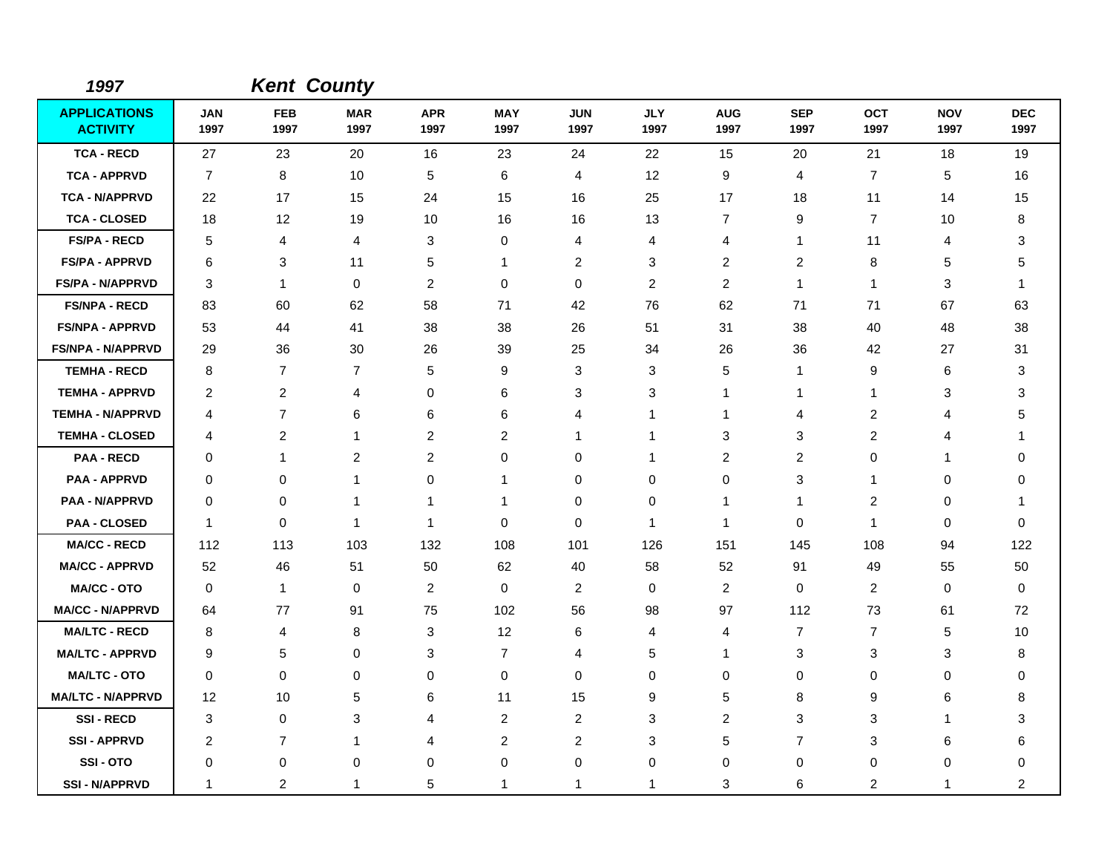| 1997                                   |                    |                    | <b>Kent County</b>      |                    |                    |                    |                    |                    |                    |                    |                    |                    |
|----------------------------------------|--------------------|--------------------|-------------------------|--------------------|--------------------|--------------------|--------------------|--------------------|--------------------|--------------------|--------------------|--------------------|
| <b>APPLICATIONS</b><br><b>ACTIVITY</b> | <b>JAN</b><br>1997 | <b>FEB</b><br>1997 | <b>MAR</b><br>1997      | <b>APR</b><br>1997 | <b>MAY</b><br>1997 | <b>JUN</b><br>1997 | <b>JLY</b><br>1997 | <b>AUG</b><br>1997 | <b>SEP</b><br>1997 | <b>OCT</b><br>1997 | <b>NOV</b><br>1997 | <b>DEC</b><br>1997 |
| <b>TCA - RECD</b>                      | 27                 | 23                 | 20                      | 16                 | 23                 | 24                 | 22                 | 15                 | 20                 | 21                 | 18                 | 19                 |
| <b>TCA - APPRVD</b>                    | $\overline{7}$     | 8                  | 10                      | 5                  | 6                  | $\overline{4}$     | 12                 | 9                  | 4                  | $\overline{7}$     | 5                  | 16                 |
| <b>TCA - N/APPRVD</b>                  | 22                 | 17                 | 15                      | 24                 | 15                 | 16                 | 25                 | 17                 | 18                 | 11                 | 14                 | 15                 |
| <b>TCA - CLOSED</b>                    | 18                 | $12 \,$            | 19                      | 10                 | 16                 | 16                 | 13                 | $\overline{7}$     | 9                  | $\overline{7}$     | 10                 | 8                  |
| <b>FS/PA - RECD</b>                    | 5                  | $\overline{4}$     | 4                       | 3                  | 0                  | $\overline{4}$     | 4                  | 4                  | $\mathbf{1}$       | 11                 | 4                  | 3                  |
| <b>FS/PA - APPRVD</b>                  | 6                  | 3                  | 11                      | 5                  | $\mathbf 1$        | $\overline{2}$     | 3                  | 2                  | 2                  | 8                  | 5                  | 5                  |
| <b>FS/PA - N/APPRVD</b>                | 3                  | $\mathbf{1}$       | $\mathbf 0$             | 2                  | $\mathbf 0$        | 0                  | 2                  | 2                  | $\mathbf{1}$       | $\mathbf{1}$       | 3                  | 1                  |
| <b>FS/NPA - RECD</b>                   | 83                 | 60                 | 62                      | 58                 | 71                 | 42                 | 76                 | 62                 | 71                 | 71                 | 67                 | 63                 |
| <b>FS/NPA - APPRVD</b>                 | 53                 | 44                 | 41                      | 38                 | 38                 | 26                 | 51                 | 31                 | 38                 | 40                 | 48                 | 38                 |
| <b>FS/NPA - N/APPRVD</b>               | 29                 | 36                 | 30                      | 26                 | 39                 | 25                 | 34                 | 26                 | 36                 | 42                 | 27                 | 31                 |
| <b>TEMHA - RECD</b>                    | 8                  | $\overline{7}$     | 7                       | 5                  | 9                  | 3                  | 3                  | 5                  | $\mathbf 1$        | 9                  | 6                  | 3                  |
| <b>TEMHA - APPRVD</b>                  | 2                  | $\overline{2}$     | 4                       | 0                  | 6                  | 3                  | 3                  | 1                  | -1                 | $\mathbf{1}$       | 3                  | 3                  |
| <b>TEMHA - N/APPRVD</b>                | 4                  | $\overline{7}$     | 6                       | 6                  | 6                  | $\overline{4}$     | 1                  | $\mathbf 1$        | $\overline{4}$     | $\overline{c}$     | 4                  | 5                  |
| <b>TEMHA - CLOSED</b>                  | 4                  | 2                  | $\mathbf{1}$            | 2                  | 2                  | $\mathbf{1}$       | 1                  | 3                  | 3                  | $\overline{2}$     | 4                  | 1                  |
| <b>PAA - RECD</b>                      | $\Omega$           | $\mathbf{1}$       | $\overline{\mathbf{c}}$ | $\overline{c}$     | 0                  | $\Omega$           | 1                  | $\boldsymbol{2}$   | 2                  | $\Omega$           |                    | $\Omega$           |
| <b>PAA - APPRVD</b>                    | 0                  | 0                  | 1                       | 0                  | -1                 | 0                  | 0                  | 0                  | 3                  | 1                  | 0                  | 0                  |
| <b>PAA - N/APPRVD</b>                  | 0                  | 0                  | 1                       | 1                  | -1                 | 0                  | 0                  | 1                  | 1                  | $\boldsymbol{2}$   | 0                  | 1                  |
| <b>PAA - CLOSED</b>                    | $\overline{1}$     | 0                  | $\overline{1}$          | $\mathbf{1}$       | 0                  | 0                  | $\mathbf{1}$       | $\mathbf 1$        | 0                  | $\mathbf{1}$       | 0                  | $\Omega$           |
| <b>MA/CC - RECD</b>                    | 112                | 113                | 103                     | 132                | 108                | 101                | 126                | 151                | 145                | 108                | 94                 | 122                |
| <b>MA/CC - APPRVD</b>                  | 52                 | 46                 | 51                      | 50                 | 62                 | 40                 | 58                 | 52                 | 91                 | 49                 | 55                 | 50                 |
| <b>MA/CC - OTO</b>                     | $\mathbf 0$        | $\mathbf{1}$       | $\mathbf 0$             | $\overline{c}$     | $\mathbf 0$        | $\overline{c}$     | $\mathbf 0$        | $\overline{c}$     | $\Omega$           | $\overline{c}$     | $\mathbf 0$        | $\Omega$           |
| <b>MA/CC - N/APPRVD</b>                | 64                 | 77                 | 91                      | 75                 | 102                | 56                 | 98                 | 97                 | 112                | 73                 | 61                 | 72                 |
| <b>MA/LTC - RECD</b>                   | 8                  | 4                  | 8                       | 3                  | 12                 | 6                  | 4                  | 4                  | $\overline{7}$     | $\overline{7}$     | 5                  | 10                 |
| <b>MA/LTC - APPRVD</b>                 | 9                  | 5                  | 0                       | 3                  | $\overline{7}$     | 4                  | 5                  | 1                  | $\mathbf{3}$       | 3                  | 3                  | 8                  |
| <b>MA/LTC - OTO</b>                    | $\mathbf 0$        | $\mathbf 0$        | 0                       | 0                  | $\pmb{0}$          | $\mathbf 0$        | $\mathbf 0$        | 0                  | $\mathbf 0$        | 0                  | 0                  | 0                  |
| <b>MA/LTC - N/APPRVD</b>               | 12                 | 10                 | 5                       | 6                  | 11                 | 15                 | 9                  | 5                  | 8                  | 9                  | 6                  | 8                  |
| <b>SSI-RECD</b>                        | 3                  | $\mathbf 0$        | 3                       | 4                  | $\overline{2}$     | $\overline{c}$     | 3                  | $\overline{c}$     | 3                  | 3                  | 1                  | 3                  |
| <b>SSI - APPRVD</b>                    | $\overline{c}$     | $\overline{7}$     | -1                      | 4                  | $\boldsymbol{2}$   | $\overline{2}$     | 3                  | 5                  | $\overline{7}$     | 3                  | 6                  | 6                  |
| SSI-OTO                                | 0                  | 0                  | 0                       | 0                  | $\pmb{0}$          | $\mathbf 0$        | 0                  | 0                  | $\mathbf 0$        | 0                  | $\mathbf 0$        | 0                  |
| <b>SSI - N/APPRVD</b>                  | 1                  | $\overline{c}$     | 1                       | 5                  | 1                  | 1                  | 1                  | 3                  | 6                  | $\overline{c}$     | 1                  | $\overline{2}$     |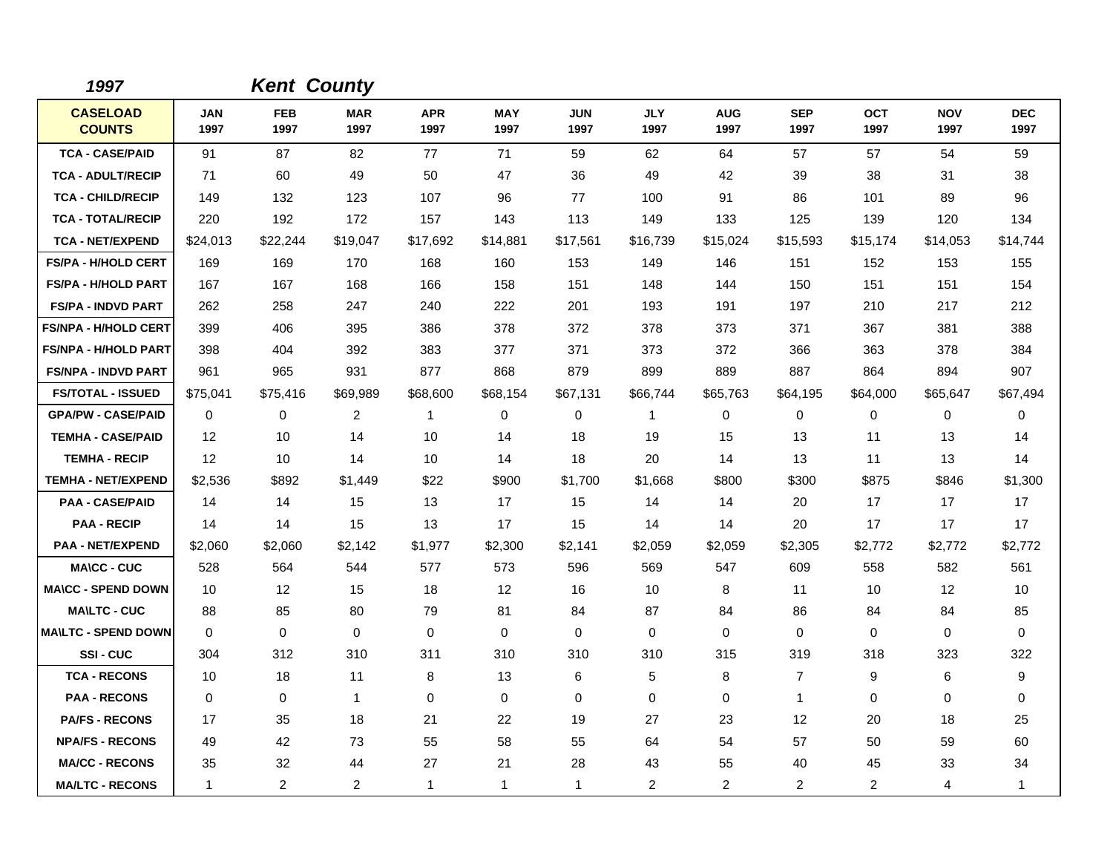| 1997                             |             | <b>Kent County</b> |                    |                    |                    |                    |                    |                    |                    |                    |                    |                    |
|----------------------------------|-------------|--------------------|--------------------|--------------------|--------------------|--------------------|--------------------|--------------------|--------------------|--------------------|--------------------|--------------------|
| <b>CASELOAD</b><br><b>COUNTS</b> | JAN<br>1997 | <b>FEB</b><br>1997 | <b>MAR</b><br>1997 | <b>APR</b><br>1997 | <b>MAY</b><br>1997 | <b>JUN</b><br>1997 | <b>JLY</b><br>1997 | <b>AUG</b><br>1997 | <b>SEP</b><br>1997 | <b>OCT</b><br>1997 | <b>NOV</b><br>1997 | <b>DEC</b><br>1997 |
| <b>TCA - CASE/PAID</b>           | 91          | 87                 | 82                 | 77                 | 71                 | 59                 | 62                 | 64                 | 57                 | 57                 | 54                 | 59                 |
| <b>TCA - ADULT/RECIP</b>         | 71          | 60                 | 49                 | 50                 | 47                 | 36                 | 49                 | 42                 | 39                 | 38                 | 31                 | 38                 |
| <b>TCA - CHILD/RECIP</b>         | 149         | 132                | 123                | 107                | 96                 | 77                 | 100                | 91                 | 86                 | 101                | 89                 | 96                 |
| <b>TCA - TOTAL/RECIP</b>         | 220         | 192                | 172                | 157                | 143                | 113                | 149                | 133                | 125                | 139                | 120                | 134                |
| <b>TCA - NET/EXPEND</b>          | \$24,013    | \$22,244           | \$19,047           | \$17,692           | \$14,881           | \$17,561           | \$16,739           | \$15,024           | \$15,593           | \$15,174           | \$14,053           | \$14,744           |
| <b>FS/PA - H/HOLD CERT</b>       | 169         | 169                | 170                | 168                | 160                | 153                | 149                | 146                | 151                | 152                | 153                | 155                |
| <b>FS/PA - H/HOLD PART</b>       | 167         | 167                | 168                | 166                | 158                | 151                | 148                | 144                | 150                | 151                | 151                | 154                |
| <b>FS/PA - INDVD PART</b>        | 262         | 258                | 247                | 240                | 222                | 201                | 193                | 191                | 197                | 210                | 217                | 212                |
| <b>FS/NPA - H/HOLD CERT</b>      | 399         | 406                | 395                | 386                | 378                | 372                | 378                | 373                | 371                | 367                | 381                | 388                |
| <b>FS/NPA - H/HOLD PART</b>      | 398         | 404                | 392                | 383                | 377                | 371                | 373                | 372                | 366                | 363                | 378                | 384                |
| <b>FS/NPA - INDVD PART</b>       | 961         | 965                | 931                | 877                | 868                | 879                | 899                | 889                | 887                | 864                | 894                | 907                |
| <b>FS/TOTAL - ISSUED</b>         | \$75,041    | \$75,416           | \$69,989           | \$68,600           | \$68,154           | \$67,131           | \$66,744           | \$65,763           | \$64,195           | \$64,000           | \$65,647           | \$67,494           |
| <b>GPA/PW - CASE/PAID</b>        | 0           | 0                  | 2                  | 1                  | 0                  | 0                  | $\mathbf{1}$       | 0                  | 0                  | 0                  | 0                  | 0                  |
| <b>TEMHA - CASE/PAID</b>         | 12          | 10                 | 14                 | 10                 | 14                 | 18                 | 19                 | 15                 | 13                 | 11                 | 13                 | 14                 |
| <b>TEMHA - RECIP</b>             | 12          | 10                 | 14                 | 10                 | 14                 | 18                 | 20                 | 14                 | 13                 | 11                 | 13                 | 14                 |
| <b>TEMHA - NET/EXPEND</b>        | \$2,536     | \$892              | \$1,449            | \$22               | \$900              | \$1,700            | \$1,668            | \$800              | \$300              | \$875              | \$846              | \$1,300            |
| <b>PAA - CASE/PAID</b>           | 14          | 14                 | 15                 | 13                 | 17                 | 15                 | 14                 | 14                 | 20                 | 17                 | 17                 | 17                 |
| <b>PAA - RECIP</b>               | 14          | 14                 | 15                 | 13                 | 17                 | 15                 | 14                 | 14                 | 20                 | 17                 | 17                 | 17                 |
| <b>PAA - NET/EXPEND</b>          | \$2,060     | \$2,060            | \$2,142            | \$1,977            | \$2,300            | \$2,141            | \$2,059            | \$2,059            | \$2,305            | \$2,772            | \$2,772            | \$2,772            |
| <b>MA\CC - CUC</b>               | 528         | 564                | 544                | 577                | 573                | 596                | 569                | 547                | 609                | 558                | 582                | 561                |
| <b>MA\CC - SPEND DOWN</b>        | 10          | 12                 | 15                 | 18                 | 12                 | 16                 | 10                 | 8                  | 11                 | 10                 | 12                 | 10                 |
| <b>MA\LTC - CUC</b>              | 88          | 85                 | 80                 | 79                 | 81                 | 84                 | 87                 | 84                 | 86                 | 84                 | 84                 | 85                 |
| <b>MAILTC - SPEND DOWN</b>       | $\mathbf 0$ | 0                  | $\mathbf 0$        | $\mathbf 0$        | 0                  | $\mathbf 0$        | 0                  | 0                  | $\mathbf 0$        | 0                  | 0                  | $\mathbf 0$        |
| SSI-CUC                          | 304         | 312                | 310                | 311                | 310                | 310                | 310                | 315                | 319                | 318                | 323                | 322                |
| <b>TCA - RECONS</b>              | 10          | 18                 | 11                 | 8                  | 13                 | 6                  | 5                  | 8                  | $\overline{7}$     | 9                  | 6                  | 9                  |
| <b>PAA - RECONS</b>              | $\Omega$    | 0                  | $\mathbf{1}$       | $\Omega$           | 0                  | $\Omega$           | $\Omega$           | 0                  | $\mathbf{1}$       | $\Omega$           | 0                  | 0                  |
| <b>PA/FS - RECONS</b>            | 17          | 35                 | 18                 | 21                 | 22                 | 19                 | 27                 | 23                 | 12                 | 20                 | 18                 | 25                 |
| <b>NPA/FS - RECONS</b>           | 49          | 42                 | 73                 | 55                 | 58                 | 55                 | 64                 | 54                 | 57                 | 50                 | 59                 | 60                 |
| <b>MA/CC - RECONS</b>            | 35          | 32                 | 44                 | 27                 | 21                 | 28                 | 43                 | 55                 | 40                 | 45                 | 33                 | 34                 |
| <b>MA/LTC - RECONS</b>           | 1           | $\overline{2}$     | 2                  | 1                  | $\mathbf{1}$       | 1                  | $\overline{c}$     | $\overline{2}$     | $\overline{c}$     | $\overline{2}$     | 4                  | 1                  |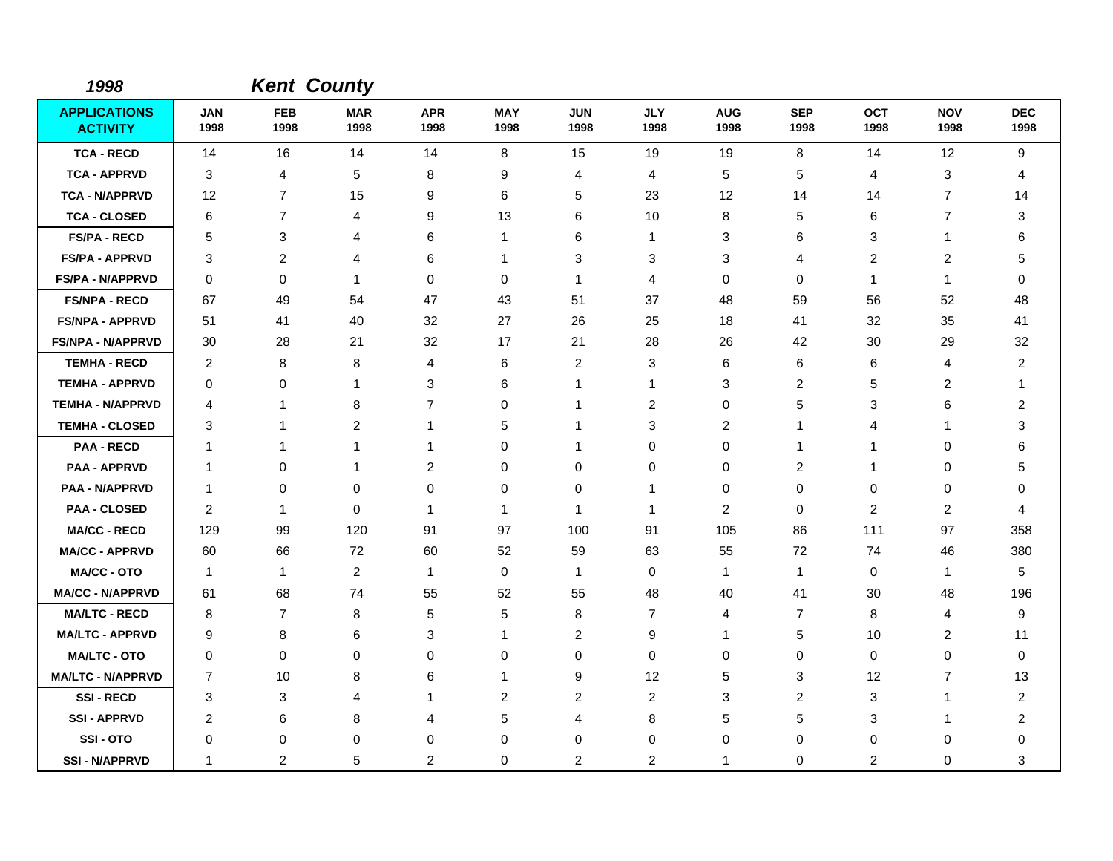| 1998                                   |                    |                    | <b>Kent County</b> |                    |                    |                    |                    |                    |                    |                    |                    |                    |
|----------------------------------------|--------------------|--------------------|--------------------|--------------------|--------------------|--------------------|--------------------|--------------------|--------------------|--------------------|--------------------|--------------------|
| <b>APPLICATIONS</b><br><b>ACTIVITY</b> | <b>JAN</b><br>1998 | <b>FEB</b><br>1998 | <b>MAR</b><br>1998 | <b>APR</b><br>1998 | <b>MAY</b><br>1998 | <b>JUN</b><br>1998 | <b>JLY</b><br>1998 | <b>AUG</b><br>1998 | <b>SEP</b><br>1998 | <b>OCT</b><br>1998 | <b>NOV</b><br>1998 | <b>DEC</b><br>1998 |
| <b>TCA - RECD</b>                      | 14                 | 16                 | 14                 | 14                 | 8                  | 15                 | 19                 | 19                 | 8                  | 14                 | 12                 | 9                  |
| <b>TCA - APPRVD</b>                    | 3                  | 4                  | 5                  | 8                  | 9                  | 4                  | 4                  | 5                  | 5                  | 4                  | 3                  | 4                  |
| <b>TCA - N/APPRVD</b>                  | 12                 | $\overline{7}$     | 15                 | 9                  | 6                  | 5                  | 23                 | 12                 | 14                 | 14                 | $\overline{7}$     | 14                 |
| <b>TCA - CLOSED</b>                    | 6                  | $\overline{7}$     | 4                  | 9                  | 13                 | 6                  | 10                 | 8                  | 5                  | 6                  | $\overline{7}$     | 3                  |
| <b>FS/PA - RECD</b>                    | 5                  | 3                  | 4                  | 6                  | $\mathbf{1}$       | 6                  | 1                  | 3                  | 6                  | 3                  | 1                  | 6                  |
| <b>FS/PA - APPRVD</b>                  | 3                  | 2                  | 4                  | 6                  | 1                  | 3                  | 3                  | 3                  | 4                  | $\overline{c}$     | 2                  | 5                  |
| <b>FS/PA - N/APPRVD</b>                | 0                  | $\mathbf 0$        | $\mathbf{1}$       | 0                  | 0                  | $\mathbf{1}$       | 4                  | 0                  | $\mathbf 0$        | $\mathbf{1}$       | -1                 | 0                  |
| <b>FS/NPA - RECD</b>                   | 67                 | 49                 | 54                 | 47                 | 43                 | 51                 | 37                 | 48                 | 59                 | 56                 | 52                 | 48                 |
| <b>FS/NPA - APPRVD</b>                 | 51                 | 41                 | 40                 | 32                 | 27                 | 26                 | 25                 | 18                 | 41                 | 32                 | 35                 | 41                 |
| <b>FS/NPA - N/APPRVD</b>               | 30                 | 28                 | 21                 | 32                 | 17                 | 21                 | 28                 | 26                 | 42                 | 30                 | 29                 | 32                 |
| <b>TEMHA - RECD</b>                    | $\overline{2}$     | 8                  | 8                  | 4                  | 6                  | 2                  | 3                  | 6                  | 6                  | 6                  | $\overline{4}$     | $\overline{c}$     |
| <b>TEMHA - APPRVD</b>                  | 0                  | 0                  | $\mathbf{1}$       | 3                  | 6                  | 1                  | 1                  | 3                  | $\overline{c}$     | 5                  | $\overline{c}$     | 1                  |
| <b>TEMHA - N/APPRVD</b>                | 4                  | $\mathbf 1$        | 8                  | $\overline{7}$     | $\Omega$           | $\mathbf{1}$       | 2                  | 0                  | 5                  | 3                  | 6                  | 2                  |
| <b>TEMHA - CLOSED</b>                  | 3                  | $\mathbf 1$        | 2                  | 1                  | 5                  | $\mathbf 1$        | 3                  | 2                  | -1                 | 4                  |                    | 3                  |
| <b>PAA - RECD</b>                      | 1                  | $\mathbf{1}$       | $\mathbf{1}$       | -1                 | 0                  | $\mathbf{1}$       | 0                  | 0                  | $\mathbf 1$        | $\mathbf 1$        | $\mathbf 0$        | 6                  |
| <b>PAA - APPRVD</b>                    | 1                  | 0                  | $\mathbf{1}$       | 2                  | 0                  | 0                  | 0                  | 0                  | 2                  | 1                  | 0                  | 5                  |
| <b>PAA - N/APPRVD</b>                  | $\mathbf 1$        | 0                  | 0                  | 0                  | 0                  | 0                  | 1                  | 0                  | $\mathbf 0$        | 0                  | $\mathbf 0$        | 0                  |
| <b>PAA - CLOSED</b>                    | 2                  | $\mathbf{1}$       | $\Omega$           | 1                  | $\mathbf{1}$       | $\mathbf{1}$       | $\mathbf{1}$       | $\overline{c}$     | $\Omega$           | $\overline{c}$     | $\overline{2}$     | 4                  |
| <b>MA/CC - RECD</b>                    | 129                | 99                 | 120                | 91                 | 97                 | 100                | 91                 | 105                | 86                 | 111                | 97                 | 358                |
| <b>MA/CC - APPRVD</b>                  | 60                 | 66                 | 72                 | 60                 | 52                 | 59                 | 63                 | 55                 | 72                 | 74                 | 46                 | 380                |
| <b>MA/CC - OTO</b>                     | $\overline{1}$     | $\mathbf{1}$       | 2                  | 1                  | $\mathbf 0$        | $\mathbf{1}$       | 0                  | $\mathbf{1}$       | $\mathbf 1$        | 0                  | $\mathbf{1}$       | 5                  |
| <b>MA/CC - N/APPRVD</b>                | 61                 | 68                 | 74                 | 55                 | 52                 | 55                 | 48                 | 40                 | 41                 | 30                 | 48                 | 196                |
| <b>MA/LTC - RECD</b>                   | 8                  | $\overline{7}$     | 8                  | 5                  | 5                  | 8                  | $\overline{7}$     | 4                  | 7                  | 8                  | 4                  | 9                  |
| <b>MA/LTC - APPRVD</b>                 | 9                  | 8                  | 6                  | 3                  | $\mathbf 1$        | 2                  | 9                  | $\mathbf{1}$       | 5                  | 10                 | $\overline{2}$     | 11                 |
| <b>MA/LTC - OTO</b>                    | 0                  | 0                  | 0                  | 0                  | 0                  | $\mathbf 0$        | 0                  | 0                  | $\mathbf 0$        | 0                  | $\mathbf 0$        | 0                  |
| <b>MA/LTC - N/APPRVD</b>               | $\overline{7}$     | 10                 | 8                  | 6                  | $\mathbf 1$        | 9                  | 12                 | 5                  | 3                  | 12                 | $\overline{7}$     | 13                 |
| <b>SSI-RECD</b>                        | 3                  | 3                  | 4                  | 1                  | 2                  | $\overline{2}$     | 2                  | 3                  | 2                  | 3                  | 1                  | 2                  |
| <b>SSI-APPRVD</b>                      | 2                  | 6                  | 8                  | 4                  | 5                  | 4                  | 8                  | 5                  | 5                  | 3                  | 1                  | 2                  |
| SSI-OTO                                | 0                  | 0                  | 0                  | 0                  | 0                  | 0                  | 0                  | 0                  | $\mathbf 0$        | 0                  | 0                  | 0                  |
| <b>SSI-N/APPRVD</b>                    | 1                  | 2                  | 5                  | 2                  | 0                  | 2                  | 2                  | 1                  | $\mathbf 0$        | 2                  | $\mathbf 0$        | 3                  |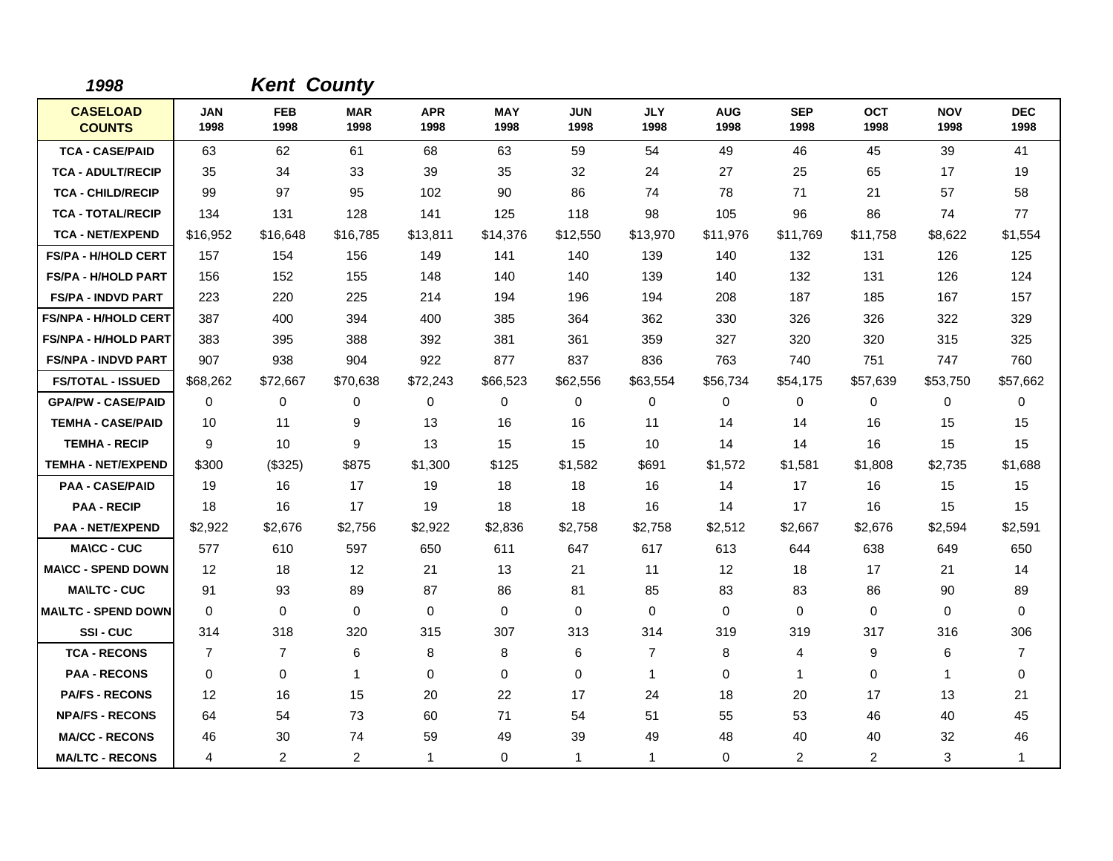| 1998                             |                    | <b>Kent County</b> |                    |                    |                    |                    |                    |                    |                    |                    |                    |                    |
|----------------------------------|--------------------|--------------------|--------------------|--------------------|--------------------|--------------------|--------------------|--------------------|--------------------|--------------------|--------------------|--------------------|
| <b>CASELOAD</b><br><b>COUNTS</b> | <b>JAN</b><br>1998 | <b>FEB</b><br>1998 | <b>MAR</b><br>1998 | <b>APR</b><br>1998 | <b>MAY</b><br>1998 | <b>JUN</b><br>1998 | <b>JLY</b><br>1998 | <b>AUG</b><br>1998 | <b>SEP</b><br>1998 | <b>OCT</b><br>1998 | <b>NOV</b><br>1998 | <b>DEC</b><br>1998 |
| <b>TCA - CASE/PAID</b>           | 63                 | 62                 | 61                 | 68                 | 63                 | 59                 | 54                 | 49                 | 46                 | 45                 | 39                 | 41                 |
| <b>TCA - ADULT/RECIP</b>         | 35                 | 34                 | 33                 | 39                 | 35                 | 32                 | 24                 | 27                 | 25                 | 65                 | 17                 | 19                 |
| <b>TCA - CHILD/RECIP</b>         | 99                 | 97                 | 95                 | 102                | 90                 | 86                 | 74                 | 78                 | 71                 | 21                 | 57                 | 58                 |
| <b>TCA - TOTAL/RECIP</b>         | 134                | 131                | 128                | 141                | 125                | 118                | 98                 | 105                | 96                 | 86                 | 74                 | 77                 |
| <b>TCA - NET/EXPEND</b>          | \$16,952           | \$16,648           | \$16,785           | \$13,811           | \$14,376           | \$12,550           | \$13,970           | \$11,976           | \$11,769           | \$11,758           | \$8,622            | \$1,554            |
| <b>FS/PA - H/HOLD CERT</b>       | 157                | 154                | 156                | 149                | 141                | 140                | 139                | 140                | 132                | 131                | 126                | 125                |
| <b>FS/PA - H/HOLD PART</b>       | 156                | 152                | 155                | 148                | 140                | 140                | 139                | 140                | 132                | 131                | 126                | 124                |
| <b>FS/PA - INDVD PART</b>        | 223                | 220                | 225                | 214                | 194                | 196                | 194                | 208                | 187                | 185                | 167                | 157                |
| <b>FS/NPA - H/HOLD CERT</b>      | 387                | 400                | 394                | 400                | 385                | 364                | 362                | 330                | 326                | 326                | 322                | 329                |
| <b>FS/NPA - H/HOLD PART</b>      | 383                | 395                | 388                | 392                | 381                | 361                | 359                | 327                | 320                | 320                | 315                | 325                |
| <b>FS/NPA - INDVD PART</b>       | 907                | 938                | 904                | 922                | 877                | 837                | 836                | 763                | 740                | 751                | 747                | 760                |
| <b>FS/TOTAL - ISSUED</b>         | \$68,262           | \$72,667           | \$70,638           | \$72,243           | \$66,523           | \$62,556           | \$63,554           | \$56,734           | \$54,175           | \$57,639           | \$53,750           | \$57,662           |
| <b>GPA/PW - CASE/PAID</b>        | 0                  | 0                  | 0                  | 0                  | $\mathbf 0$        | 0                  | 0                  | 0                  | 0                  | 0                  | 0                  | 0                  |
| <b>TEMHA - CASE/PAID</b>         | 10                 | 11                 | 9                  | 13                 | 16                 | 16                 | 11                 | 14                 | 14                 | 16                 | 15                 | 15                 |
| <b>TEMHA - RECIP</b>             | 9                  | 10                 | 9                  | 13                 | 15                 | 15                 | 10                 | 14                 | 14                 | 16                 | 15                 | 15                 |
| <b>TEMHA - NET/EXPEND</b>        | \$300              | (\$325)            | \$875              | \$1,300            | \$125              | \$1,582            | \$691              | \$1,572            | \$1,581            | \$1,808            | \$2,735            | \$1,688            |
| <b>PAA - CASE/PAID</b>           | 19                 | 16                 | 17                 | 19                 | 18                 | 18                 | 16                 | 14                 | 17                 | 16                 | 15                 | 15                 |
| <b>PAA - RECIP</b>               | 18                 | 16                 | 17                 | 19                 | 18                 | 18                 | 16                 | 14                 | 17                 | 16                 | 15                 | 15                 |
| <b>PAA - NET/EXPEND</b>          | \$2,922            | \$2,676            | \$2,756            | \$2,922            | \$2,836            | \$2,758            | \$2,758            | \$2,512            | \$2,667            | \$2,676            | \$2,594            | \$2,591            |
| <b>MA\CC - CUC</b>               | 577                | 610                | 597                | 650                | 611                | 647                | 617                | 613                | 644                | 638                | 649                | 650                |
| <b>MA\CC - SPEND DOWN</b>        | 12                 | 18                 | $12 \overline{ }$  | 21                 | 13                 | 21                 | 11                 | 12                 | 18                 | 17                 | 21                 | 14                 |
| <b>MA\LTC - CUC</b>              | 91                 | 93                 | 89                 | 87                 | 86                 | 81                 | 85                 | 83                 | 83                 | 86                 | 90                 | 89                 |
| <b>MA\LTC - SPEND DOWN</b>       | 0                  | $\mathbf 0$        | $\mathbf 0$        | 0                  | 0                  | $\mathbf 0$        | 0                  | $\mathbf 0$        | $\mathbf 0$        | 0                  | $\mathbf 0$        | $\mathbf 0$        |
| SSI-CUC                          | 314                | 318                | 320                | 315                | 307                | 313                | 314                | 319                | 319                | 317                | 316                | 306                |
| <b>TCA - RECONS</b>              | $\overline{7}$     | $\overline{7}$     | 6                  | 8                  | 8                  | 6                  | $\overline{7}$     | 8                  | 4                  | 9                  | 6                  | $\overline{7}$     |
| <b>PAA - RECONS</b>              | $\mathbf 0$        | 0                  | $\mathbf{1}$       | 0                  | $\mathbf 0$        | $\mathbf 0$        | $\mathbf{1}$       | 0                  | $\mathbf 1$        | 0                  | $\mathbf{1}$       | 0                  |
| <b>PA/FS - RECONS</b>            | 12                 | 16                 | 15                 | 20                 | 22                 | 17                 | 24                 | 18                 | 20                 | 17                 | 13                 | 21                 |
| <b>NPA/FS - RECONS</b>           | 64                 | 54                 | 73                 | 60                 | 71                 | 54                 | 51                 | 55                 | 53                 | 46                 | 40                 | 45                 |
| <b>MA/CC - RECONS</b>            | 46                 | 30                 | 74                 | 59                 | 49                 | 39                 | 49                 | 48                 | 40                 | 40                 | 32                 | 46                 |
| <b>MA/LTC - RECONS</b>           | 4                  | $\overline{2}$     | $\overline{2}$     | $\mathbf 1$        | 0                  | 1                  | 1                  | 0                  | 2                  | $\overline{2}$     | 3                  | $\mathbf{1}$       |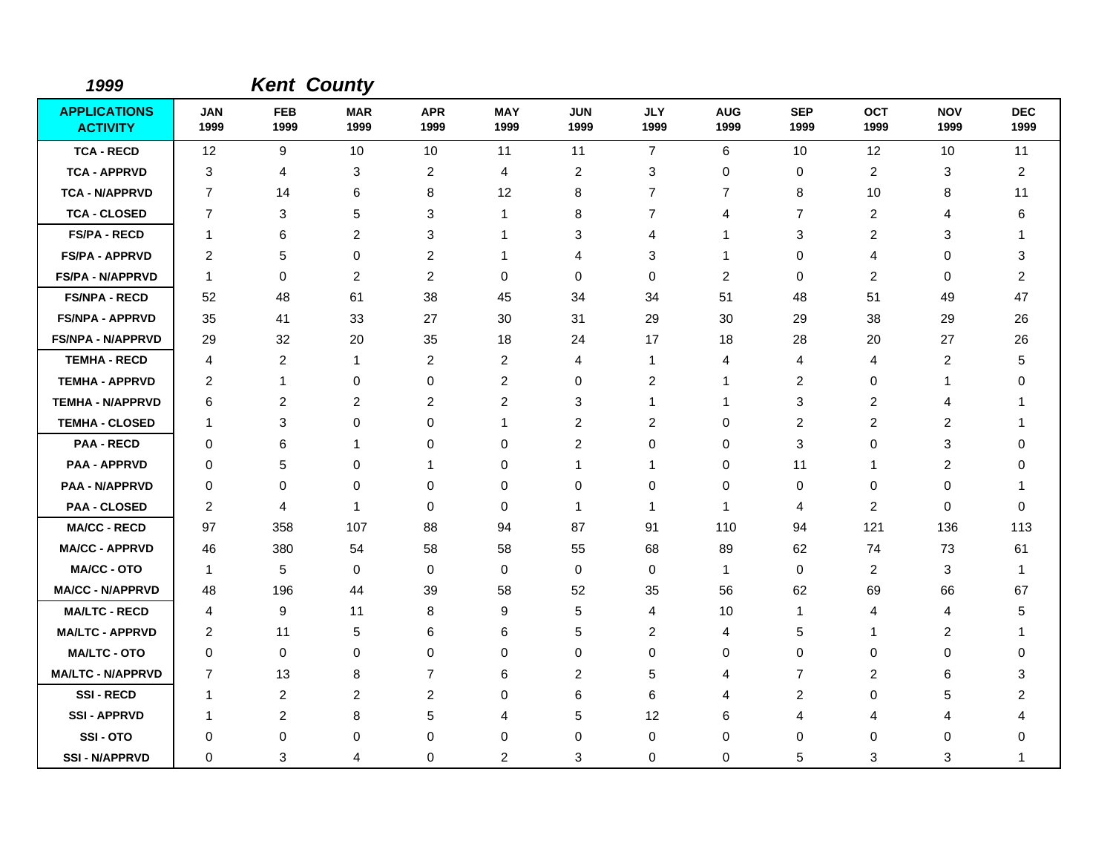| 1999                                   |                    |                    | <b>Kent County</b> |                    |                    |                    |                    |                    |                    |                    |                    |                    |
|----------------------------------------|--------------------|--------------------|--------------------|--------------------|--------------------|--------------------|--------------------|--------------------|--------------------|--------------------|--------------------|--------------------|
| <b>APPLICATIONS</b><br><b>ACTIVITY</b> | <b>JAN</b><br>1999 | <b>FEB</b><br>1999 | <b>MAR</b><br>1999 | <b>APR</b><br>1999 | <b>MAY</b><br>1999 | <b>JUN</b><br>1999 | <b>JLY</b><br>1999 | <b>AUG</b><br>1999 | <b>SEP</b><br>1999 | <b>OCT</b><br>1999 | <b>NOV</b><br>1999 | <b>DEC</b><br>1999 |
| <b>TCA - RECD</b>                      | 12                 | 9                  | 10                 | 10                 | 11                 | 11                 | $\overline{7}$     | 6                  | 10                 | 12                 | 10                 | 11                 |
| <b>TCA - APPRVD</b>                    | 3                  | 4                  | 3                  | $\overline{c}$     | 4                  | $\overline{c}$     | 3                  | 0                  | 0                  | $\overline{c}$     | 3                  | $\overline{c}$     |
| <b>TCA - N/APPRVD</b>                  | 7                  | 14                 | 6                  | 8                  | 12                 | 8                  | $\overline{7}$     | $\overline{7}$     | 8                  | 10                 | 8                  | 11                 |
| <b>TCA - CLOSED</b>                    | $\overline{7}$     | 3                  | 5                  | 3                  | $\mathbf{1}$       | 8                  | 7                  | 4                  | $\overline{7}$     | $\overline{c}$     | 4                  | 6                  |
| <b>FS/PA - RECD</b>                    | -1                 | 6                  | $\overline{2}$     | 3                  | -1                 | 3                  | 4                  |                    | 3                  | $\overline{2}$     | 3                  |                    |
| <b>FS/PA - APPRVD</b>                  | $\overline{c}$     | 5                  | $\mathbf 0$        | $\overline{c}$     | 1                  | 4                  | 3                  | 1                  | $\mathbf 0$        | $\overline{4}$     | 0                  | 3                  |
| <b>FS/PA - N/APPRVD</b>                | -1                 | $\Omega$           | $\overline{2}$     | $\overline{c}$     | 0                  | $\Omega$           | $\Omega$           | $\overline{c}$     | $\Omega$           | $\overline{c}$     | 0                  | $\overline{c}$     |
| <b>FS/NPA - RECD</b>                   | 52                 | 48                 | 61                 | 38                 | 45                 | 34                 | 34                 | 51                 | 48                 | 51                 | 49                 | 47                 |
| <b>FS/NPA - APPRVD</b>                 | 35                 | 41                 | 33                 | 27                 | 30                 | 31                 | 29                 | 30                 | 29                 | 38                 | 29                 | 26                 |
| <b>FS/NPA - N/APPRVD</b>               | 29                 | 32                 | 20                 | 35                 | 18                 | 24                 | 17                 | 18                 | 28                 | 20                 | 27                 | 26                 |
| <b>TEMHA - RECD</b>                    | 4                  | $\overline{c}$     | $\mathbf{1}$       | $\overline{c}$     | $\overline{2}$     | $\overline{4}$     | $\mathbf{1}$       | 4                  | 4                  | 4                  | 2                  | 5                  |
| <b>TEMHA - APPRVD</b>                  | 2                  | 1                  | $\mathbf 0$        | 0                  | 2                  | 0                  | $\overline{2}$     | 1                  | 2                  | 0                  | 1                  | 0                  |
| <b>TEMHA - N/APPRVD</b>                | 6                  | $\overline{c}$     | $\overline{c}$     | $\overline{c}$     | $\overline{c}$     | 3                  | 1                  | 1                  | $\mathbf{3}$       | $\overline{c}$     | 4                  |                    |
| <b>TEMHA - CLOSED</b>                  | -1                 | 3                  | $\Omega$           | 0                  | $\mathbf 1$        | $\overline{2}$     | 2                  | 0                  | 2                  | $\overline{c}$     | 2                  | 1                  |
| <b>PAA - RECD</b>                      | $\Omega$           | 6                  | 1                  | 0                  | 0                  | $\overline{2}$     | 0                  | 0                  | 3                  | 0                  | 3                  | 0                  |
| <b>PAA - APPRVD</b>                    | 0                  | 5                  | 0                  | -1                 | 0                  | 1                  | 1                  | 0                  | 11                 | 1                  | 2                  | 0                  |
| <b>PAA - N/APPRVD</b>                  | 0                  | 0                  | 0                  | 0                  | 0                  | 0                  | 0                  | 0                  | 0                  | 0                  | $\mathbf 0$        | -1                 |
| <b>PAA - CLOSED</b>                    | 2                  | $\overline{4}$     | -1                 | 0                  | $\mathbf 0$        | $\mathbf{1}$       | $\mathbf{1}$       | $\mathbf{1}$       | 4                  | $\overline{c}$     | $\mathbf 0$        | 0                  |
| <b>MA/CC - RECD</b>                    | 97                 | 358                | 107                | 88                 | 94                 | 87                 | 91                 | 110                | 94                 | 121                | 136                | 113                |
| <b>MA/CC - APPRVD</b>                  | 46                 | 380                | 54                 | 58                 | 58                 | 55                 | 68                 | 89                 | 62                 | 74                 | 73                 | 61                 |
| <b>MA/CC - OTO</b>                     | $\overline{1}$     | 5                  | $\mathbf 0$        | 0                  | 0                  | 0                  | 0                  | $\mathbf{1}$       | $\mathbf 0$        | $\overline{c}$     | 3                  | -1                 |
| <b>MA/CC - N/APPRVD</b>                | 48                 | 196                | 44                 | 39                 | 58                 | 52                 | 35                 | 56                 | 62                 | 69                 | 66                 | 67                 |
| <b>MA/LTC - RECD</b>                   | 4                  | 9                  | 11                 | 8                  | 9                  | 5                  | 4                  | 10                 | $\mathbf 1$        | 4                  | 4                  | 5                  |
| <b>MA/LTC - APPRVD</b>                 | 2                  | 11                 | 5                  | 6                  | 6                  | 5                  | 2                  | 4                  | 5                  | 1                  | $\overline{c}$     | 1                  |
| <b>MA/LTC - OTO</b>                    | $\mathbf 0$        | 0                  | 0                  | 0                  | 0                  | 0                  | 0                  | 0                  | $\mathbf 0$        | 0                  | $\mathbf 0$        | 0                  |
| <b>MA/LTC - N/APPRVD</b>               | $\overline{7}$     | 13                 | 8                  | $\overline{7}$     | 6                  | $\overline{2}$     | 5                  | 4                  | $\overline{7}$     | 2                  | 6                  | 3                  |
| <b>SSI-RECD</b>                        | -1                 | 2                  | $\overline{c}$     | $\overline{c}$     | 0                  | 6                  | 6                  | 4                  | $\overline{c}$     | 0                  | 5                  | 2                  |
| <b>SSI-APPRVD</b>                      | $\mathbf 1$        | 2                  | 8                  | 5                  | 4                  | 5                  | 12                 | 6                  | 4                  | 4                  | 4                  | 4                  |
| SSI-OTO                                | 0                  | 0                  | 0                  | 0                  | 0                  | 0                  | 0                  | 0                  | $\Omega$           | 0                  | 0                  | 0                  |
| <b>SSI - N/APPRVD</b>                  | $\Omega$           | 3                  | 4                  | 0                  | $\overline{c}$     | 3                  | 0                  | 0                  | 5                  | 3                  | 3                  | 1                  |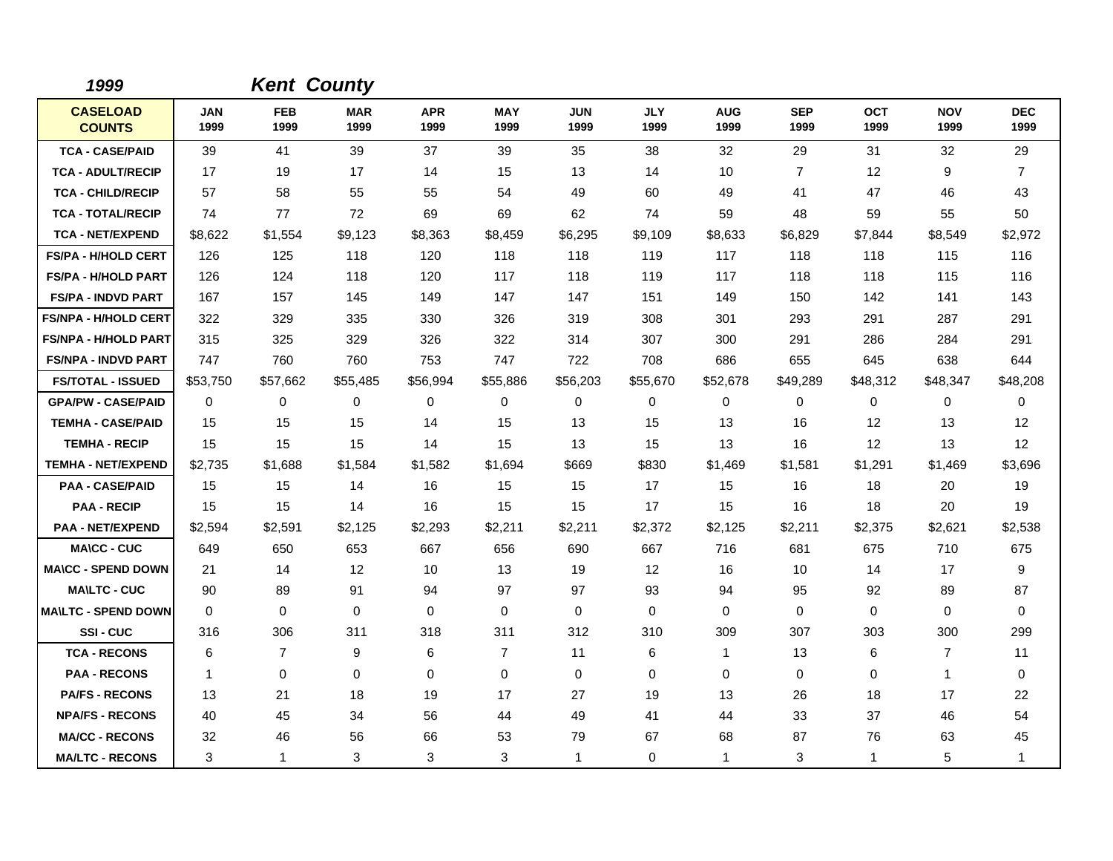| 1999                             |                    | <b>Kent County</b> |                    |                    |                    |                    |                    |                    |                    |                    |                    |                    |
|----------------------------------|--------------------|--------------------|--------------------|--------------------|--------------------|--------------------|--------------------|--------------------|--------------------|--------------------|--------------------|--------------------|
| <b>CASELOAD</b><br><b>COUNTS</b> | <b>JAN</b><br>1999 | <b>FEB</b><br>1999 | <b>MAR</b><br>1999 | <b>APR</b><br>1999 | <b>MAY</b><br>1999 | <b>JUN</b><br>1999 | <b>JLY</b><br>1999 | <b>AUG</b><br>1999 | <b>SEP</b><br>1999 | <b>OCT</b><br>1999 | <b>NOV</b><br>1999 | <b>DEC</b><br>1999 |
| <b>TCA - CASE/PAID</b>           | 39                 | 41                 | 39                 | 37                 | 39                 | 35                 | 38                 | 32                 | 29                 | 31                 | 32                 | 29                 |
| <b>TCA - ADULT/RECIP</b>         | 17                 | 19                 | 17                 | 14                 | 15                 | 13                 | 14                 | 10                 | $\overline{7}$     | 12                 | 9                  | $\overline{7}$     |
| <b>TCA - CHILD/RECIP</b>         | 57                 | 58                 | 55                 | 55                 | 54                 | 49                 | 60                 | 49                 | 41                 | 47                 | 46                 | 43                 |
| <b>TCA - TOTAL/RECIP</b>         | 74                 | 77                 | 72                 | 69                 | 69                 | 62                 | 74                 | 59                 | 48                 | 59                 | 55                 | 50                 |
| <b>TCA - NET/EXPEND</b>          | \$8,622            | \$1,554            | \$9,123            | \$8,363            | \$8,459            | \$6,295            | \$9,109            | \$8,633            | \$6,829            | \$7,844            | \$8,549            | \$2,972            |
| <b>FS/PA - H/HOLD CERT</b>       | 126                | 125                | 118                | 120                | 118                | 118                | 119                | 117                | 118                | 118                | 115                | 116                |
| <b>FS/PA - H/HOLD PART</b>       | 126                | 124                | 118                | 120                | 117                | 118                | 119                | 117                | 118                | 118                | 115                | 116                |
| <b>FS/PA - INDVD PART</b>        | 167                | 157                | 145                | 149                | 147                | 147                | 151                | 149                | 150                | 142                | 141                | 143                |
| <b>FS/NPA - H/HOLD CERT</b>      | 322                | 329                | 335                | 330                | 326                | 319                | 308                | 301                | 293                | 291                | 287                | 291                |
| <b>FS/NPA - H/HOLD PART</b>      | 315                | 325                | 329                | 326                | 322                | 314                | 307                | 300                | 291                | 286                | 284                | 291                |
| <b>FS/NPA - INDVD PART</b>       | 747                | 760                | 760                | 753                | 747                | 722                | 708                | 686                | 655                | 645                | 638                | 644                |
| <b>FS/TOTAL - ISSUED</b>         | \$53,750           | \$57,662           | \$55,485           | \$56,994           | \$55,886           | \$56,203           | \$55,670           | \$52,678           | \$49,289           | \$48,312           | \$48,347           | \$48,208           |
| <b>GPA/PW - CASE/PAID</b>        | 0                  | 0                  | 0                  | 0                  | $\mathbf 0$        | 0                  | $\mathbf 0$        | 0                  | 0                  | 0                  | 0                  | 0                  |
| <b>TEMHA - CASE/PAID</b>         | 15                 | 15                 | 15                 | 14                 | 15                 | 13                 | 15                 | 13                 | 16                 | 12                 | 13                 | 12                 |
| <b>TEMHA - RECIP</b>             | 15                 | 15                 | 15                 | 14                 | 15                 | 13                 | 15                 | 13                 | 16                 | 12                 | 13                 | 12                 |
| <b>TEMHA - NET/EXPEND</b>        | \$2,735            | \$1,688            | \$1,584            | \$1,582            | \$1,694            | \$669              | \$830              | \$1,469            | \$1,581            | \$1,291            | \$1,469            | \$3,696            |
| <b>PAA - CASE/PAID</b>           | 15                 | 15                 | 14                 | 16                 | 15                 | 15                 | 17                 | 15                 | 16                 | 18                 | 20                 | 19                 |
| <b>PAA - RECIP</b>               | 15                 | 15                 | 14                 | 16                 | 15                 | 15                 | 17                 | 15                 | 16                 | 18                 | 20                 | 19                 |
| <b>PAA - NET/EXPEND</b>          | \$2,594            | \$2,591            | \$2,125            | \$2,293            | \$2,211            | \$2,211            | \$2,372            | \$2,125            | \$2,211            | \$2,375            | \$2,621            | \$2,538            |
| <b>MA\CC - CUC</b>               | 649                | 650                | 653                | 667                | 656                | 690                | 667                | 716                | 681                | 675                | 710                | 675                |
| <b>MA\CC - SPEND DOWN</b>        | 21                 | 14                 | $12 \overline{ }$  | 10                 | 13                 | 19                 | 12                 | 16                 | 10                 | 14                 | 17                 | 9                  |
| <b>MAILTC - CUC</b>              | 90                 | 89                 | 91                 | 94                 | 97                 | 97                 | 93                 | 94                 | 95                 | 92                 | 89                 | 87                 |
| <b>MA\LTC - SPEND DOWN</b>       | $\mathbf 0$        | 0                  | $\mathbf 0$        | $\mathbf 0$        | 0                  | $\mathbf 0$        | $\mathbf 0$        | 0                  | 0                  | 0                  | 0                  | 0                  |
| SSI-CUC                          | 316                | 306                | 311                | 318                | 311                | 312                | 310                | 309                | 307                | 303                | 300                | 299                |
| <b>TCA - RECONS</b>              | 6                  | $\overline{7}$     | 9                  | 6                  | $\overline{7}$     | 11                 | 6                  | $\mathbf{1}$       | 13                 | 6                  | 7                  | 11                 |
| <b>PAA - RECONS</b>              | $\overline{1}$     | 0                  | $\Omega$           | $\Omega$           | $\mathbf 0$        | $\mathbf 0$        | $\Omega$           | 0                  | $\mathbf 0$        | $\Omega$           | $\mathbf{1}$       | $\mathbf 0$        |
| <b>PA/FS - RECONS</b>            | 13                 | 21                 | 18                 | 19                 | 17                 | 27                 | 19                 | 13                 | 26                 | 18                 | 17                 | 22                 |
| <b>NPA/FS - RECONS</b>           | 40                 | 45                 | 34                 | 56                 | 44                 | 49                 | 41                 | 44                 | 33                 | 37                 | 46                 | 54                 |
| <b>MA/CC - RECONS</b>            | 32                 | 46                 | 56                 | 66                 | 53                 | 79                 | 67                 | 68                 | 87                 | 76                 | 63                 | 45                 |
| <b>MA/LTC - RECONS</b>           | 3                  | $\mathbf{1}$       | 3                  | 3                  | 3                  | 1                  | 0                  | $\mathbf{1}$       | 3                  | $\mathbf 1$        | 5                  | $\mathbf 1$        |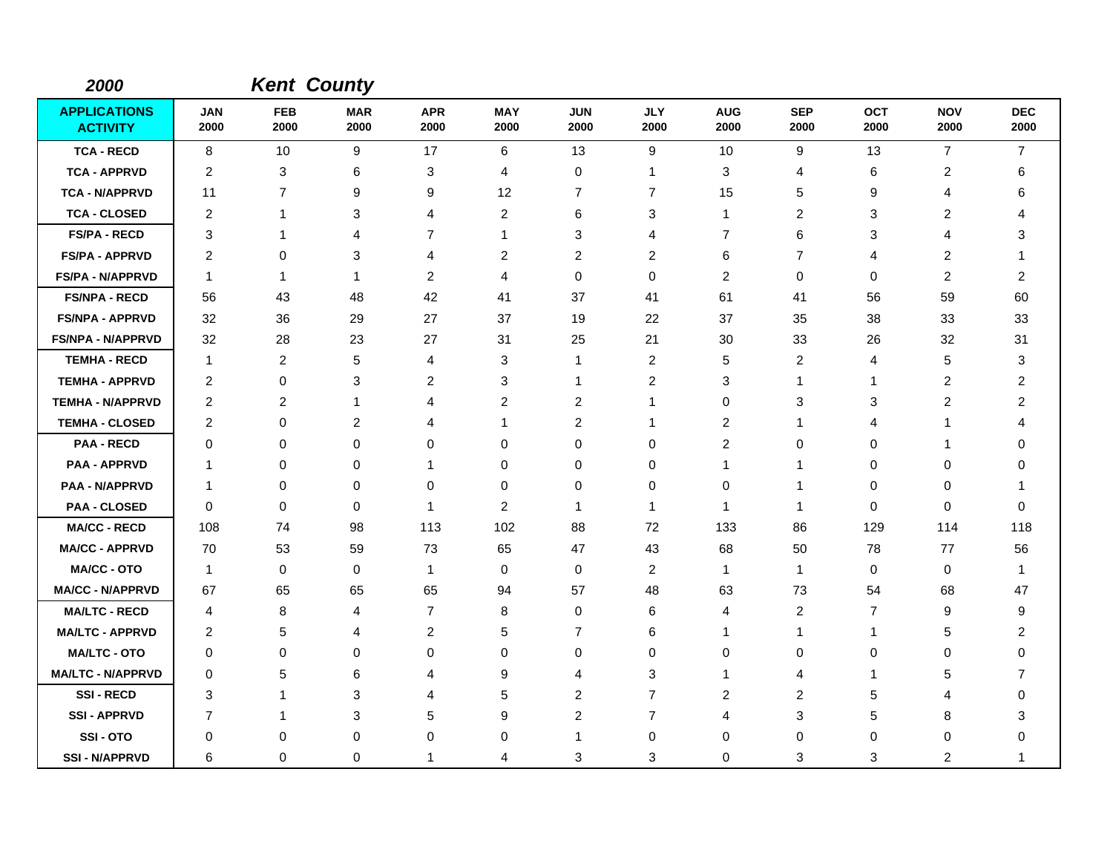| 2000                                   |                    |                    | <b>Kent County</b> |                    |                    |                    |                    |                    |                    |                    |                    |                    |
|----------------------------------------|--------------------|--------------------|--------------------|--------------------|--------------------|--------------------|--------------------|--------------------|--------------------|--------------------|--------------------|--------------------|
| <b>APPLICATIONS</b><br><b>ACTIVITY</b> | <b>JAN</b><br>2000 | <b>FEB</b><br>2000 | <b>MAR</b><br>2000 | <b>APR</b><br>2000 | <b>MAY</b><br>2000 | <b>JUN</b><br>2000 | <b>JLY</b><br>2000 | <b>AUG</b><br>2000 | <b>SEP</b><br>2000 | <b>OCT</b><br>2000 | <b>NOV</b><br>2000 | <b>DEC</b><br>2000 |
| <b>TCA - RECD</b>                      | 8                  | 10                 | 9                  | 17                 | 6                  | 13                 | 9                  | 10                 | 9                  | 13                 | $\overline{7}$     | $\overline{7}$     |
| <b>TCA - APPRVD</b>                    | 2                  | 3                  | 6                  | 3                  | 4                  | 0                  | $\mathbf{1}$       | 3                  | 4                  | 6                  | 2                  | 6                  |
| <b>TCA - N/APPRVD</b>                  | 11                 | $\overline{7}$     | 9                  | 9                  | 12                 | $\overline{7}$     | $\overline{7}$     | 15                 | 5                  | 9                  | 4                  | 6                  |
| <b>TCA - CLOSED</b>                    | 2                  | 1                  | 3                  | 4                  | $\overline{2}$     | 6                  | 3                  | $\mathbf{1}$       | 2                  | 3                  | 2                  | 4                  |
| <b>FS/PA - RECD</b>                    | 3                  | 1                  | 4                  | $\overline{7}$     | $\mathbf{1}$       | 3                  | 4                  | $\overline{7}$     | 6                  | 3                  | 4                  | 3                  |
| <b>FS/PA - APPRVD</b>                  | 2                  | 0                  | 3                  | 4                  | 2                  | $\overline{2}$     | 2                  | 6                  | $\overline{7}$     | 4                  | $\overline{c}$     | 1                  |
| <b>FS/PA - N/APPRVD</b>                | 1                  | $\mathbf{1}$       | $\mathbf 1$        | $\overline{c}$     | 4                  | $\mathbf 0$        | $\mathbf 0$        | $\overline{c}$     | $\mathbf 0$        | 0                  | $\overline{c}$     | $\overline{c}$     |
| <b>FS/NPA - RECD</b>                   | 56                 | 43                 | 48                 | 42                 | 41                 | 37                 | 41                 | 61                 | 41                 | 56                 | 59                 | 60                 |
| <b>FS/NPA - APPRVD</b>                 | 32                 | 36                 | 29                 | 27                 | 37                 | 19                 | 22                 | 37                 | 35                 | 38                 | 33                 | 33                 |
| <b>FS/NPA - N/APPRVD</b>               | 32                 | 28                 | 23                 | 27                 | 31                 | 25                 | 21                 | 30                 | 33                 | 26                 | 32                 | 31                 |
| <b>TEMHA - RECD</b>                    | -1                 | 2                  | 5                  | $\overline{4}$     | 3                  | 1                  | 2                  | 5                  | 2                  | 4                  | 5                  | 3                  |
| <b>TEMHA - APPRVD</b>                  | 2                  | 0                  | 3                  | $\overline{c}$     | 3                  | 1                  | $\overline{c}$     | 3                  | $\mathbf 1$        | 1                  | $\overline{c}$     | 2                  |
| <b>TEMHA - N/APPRVD</b>                | 2                  | $\overline{2}$     | $\mathbf{1}$       | 4                  | $\overline{c}$     | $\overline{c}$     | -1                 | 0                  | 3                  | 3                  | $\overline{2}$     | $\overline{2}$     |
| <b>TEMHA - CLOSED</b>                  | 2                  | 0                  | 2                  | 4                  | $\mathbf{1}$       | $\overline{c}$     | 1                  | 2                  | $\mathbf 1$        | 4                  |                    | 4                  |
| <b>PAA - RECD</b>                      | 0                  | 0                  | $\mathbf 0$        | 0                  | $\mathbf 0$        | 0                  | 0                  | 2                  | 0                  | 0                  |                    | 0                  |
| <b>PAA - APPRVD</b>                    | $\overline{1}$     | 0                  | 0                  | 1                  | 0                  | 0                  | 0                  | 1                  | 1                  | 0                  | 0                  | 0                  |
| <b>PAA - N/APPRVD</b>                  | $\mathbf 1$        | 0                  | $\mathbf 0$        | 0                  | 0                  | 0                  | $\mathbf 0$        | 0                  | -1                 | 0                  | 0                  | -1                 |
| <b>PAA - CLOSED</b>                    | $\mathbf 0$        | 0                  | $\mathbf 0$        | $\mathbf 1$        | $\overline{c}$     | 1                  | $\mathbf{1}$       | 1                  | $\mathbf 1$        | 0                  | 0                  | $\Omega$           |
| <b>MA/CC - RECD</b>                    | 108                | 74                 | 98                 | 113                | 102                | 88                 | 72                 | 133                | 86                 | 129                | 114                | 118                |
| <b>MA/CC - APPRVD</b>                  | 70                 | 53                 | 59                 | 73                 | 65                 | 47                 | 43                 | 68                 | 50                 | 78                 | 77                 | 56                 |
| <b>MA/CC - OTO</b>                     | $\mathbf{1}$       | 0                  | $\mathbf 0$        | $\mathbf{1}$       | 0                  | $\mathbf 0$        | 2                  | 1                  | $\mathbf 1$        | 0                  | 0                  | 1                  |
| <b>MA/CC - N/APPRVD</b>                | 67                 | 65                 | 65                 | 65                 | 94                 | 57                 | 48                 | 63                 | 73                 | 54                 | 68                 | 47                 |
| <b>MA/LTC - RECD</b>                   | 4                  | 8                  | 4                  | $\overline{7}$     | 8                  | $\mathbf 0$        | 6                  | 4                  | 2                  | 7                  | 9                  | 9                  |
| <b>MA/LTC - APPRVD</b>                 | $\overline{c}$     | 5                  | $\overline{4}$     | $\overline{c}$     | 5                  | $\overline{7}$     | 6                  | 1                  | 1                  | 1                  | 5                  | 2                  |
| <b>MA/LTC - OTO</b>                    | 0                  | 0                  | 0                  | $\Omega$           | $\mathbf 0$        | 0                  | 0                  | $\Omega$           | 0                  | 0                  | $\Omega$           | $\Omega$           |
| <b>MA/LTC - N/APPRVD</b>               | 0                  | 5                  | 6                  | 4                  | 9                  | 4                  | 3                  | 1                  | 4                  | 1                  | 5                  | $\overline{7}$     |
| <b>SSI-RECD</b>                        | 3                  | 1                  | 3                  | 4                  | 5                  | $\overline{c}$     | $\overline{7}$     | 2                  | $\overline{2}$     | 5                  | 4                  | 0                  |
| <b>SSI - APPRVD</b>                    | $\overline{7}$     | 1                  | 3                  | 5                  | 9                  | $\overline{c}$     | $\overline{7}$     | 4                  | 3                  | 5                  | 8                  | 3                  |
| SSI-OTO                                | 0                  | 0                  | 0                  | 0                  | 0                  | 1                  | 0                  | 0                  | 0                  | 0                  | 0                  | 0                  |
| <b>SSI - N/APPRVD</b>                  | 6                  | $\mathbf 0$        | $\mathbf 0$        | 1                  | 4                  | 3                  | 3                  | 0                  | 3                  | 3                  | $\overline{c}$     | 1                  |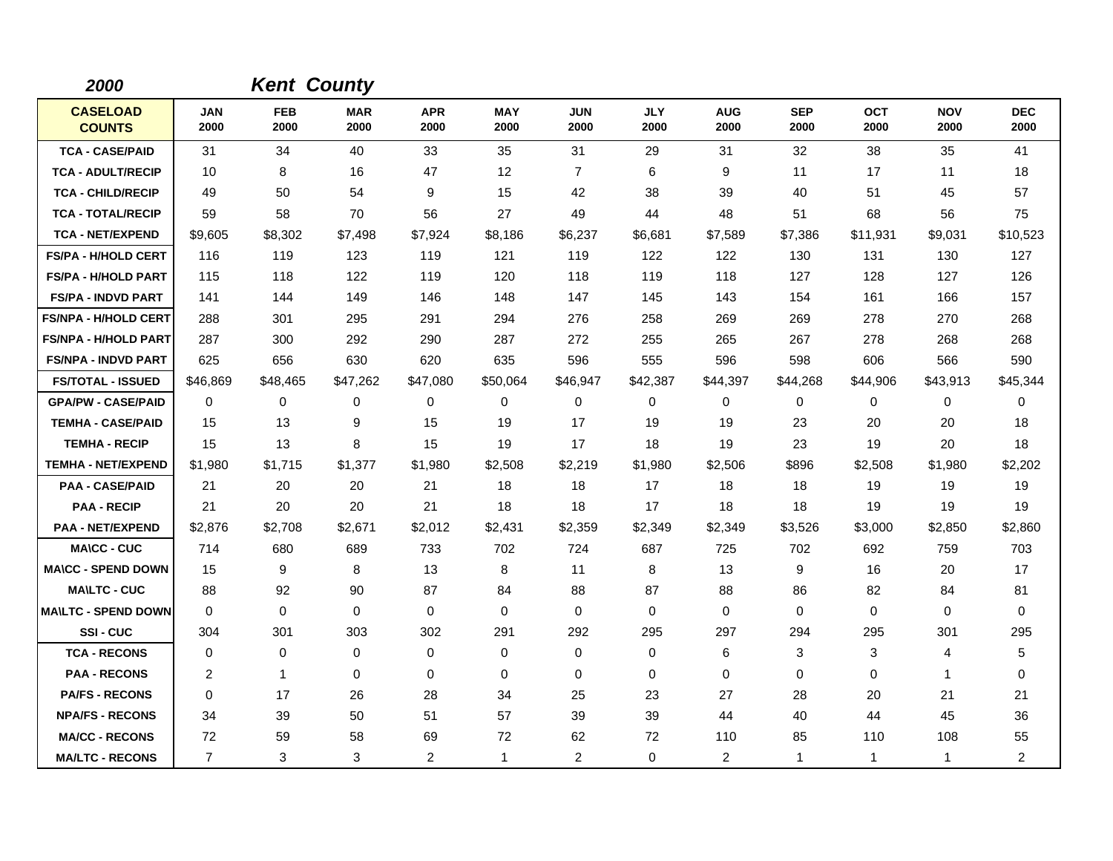| 2000                             |                    | <b>Kent County</b> |                    |                    |                    |                    |                    |                    |                    |                    |                    |                    |
|----------------------------------|--------------------|--------------------|--------------------|--------------------|--------------------|--------------------|--------------------|--------------------|--------------------|--------------------|--------------------|--------------------|
| <b>CASELOAD</b><br><b>COUNTS</b> | <b>JAN</b><br>2000 | <b>FEB</b><br>2000 | <b>MAR</b><br>2000 | <b>APR</b><br>2000 | <b>MAY</b><br>2000 | <b>JUN</b><br>2000 | <b>JLY</b><br>2000 | <b>AUG</b><br>2000 | <b>SEP</b><br>2000 | <b>OCT</b><br>2000 | <b>NOV</b><br>2000 | <b>DEC</b><br>2000 |
| <b>TCA - CASE/PAID</b>           | 31                 | 34                 | 40                 | 33                 | 35                 | 31                 | 29                 | 31                 | 32                 | 38                 | 35                 | 41                 |
| <b>TCA - ADULT/RECIP</b>         | 10                 | 8                  | 16                 | 47                 | 12                 | $\overline{7}$     | 6                  | 9                  | 11                 | 17                 | 11                 | 18                 |
| <b>TCA - CHILD/RECIP</b>         | 49                 | 50                 | 54                 | 9                  | 15                 | 42                 | 38                 | 39                 | 40                 | 51                 | 45                 | 57                 |
| <b>TCA - TOTAL/RECIP</b>         | 59                 | 58                 | 70                 | 56                 | 27                 | 49                 | 44                 | 48                 | 51                 | 68                 | 56                 | 75                 |
| <b>TCA - NET/EXPEND</b>          | \$9,605            | \$8,302            | \$7,498            | \$7,924            | \$8,186            | \$6,237            | \$6,681            | \$7,589            | \$7,386            | \$11,931           | \$9,031            | \$10,523           |
| <b>FS/PA - H/HOLD CERT</b>       | 116                | 119                | 123                | 119                | 121                | 119                | 122                | 122                | 130                | 131                | 130                | 127                |
| <b>FS/PA - H/HOLD PART</b>       | 115                | 118                | 122                | 119                | 120                | 118                | 119                | 118                | 127                | 128                | 127                | 126                |
| <b>FS/PA - INDVD PART</b>        | 141                | 144                | 149                | 146                | 148                | 147                | 145                | 143                | 154                | 161                | 166                | 157                |
| <b>FS/NPA - H/HOLD CERT</b>      | 288                | 301                | 295                | 291                | 294                | 276                | 258                | 269                | 269                | 278                | 270                | 268                |
| <b>FS/NPA - H/HOLD PART</b>      | 287                | 300                | 292                | 290                | 287                | 272                | 255                | 265                | 267                | 278                | 268                | 268                |
| <b>FS/NPA - INDVD PART</b>       | 625                | 656                | 630                | 620                | 635                | 596                | 555                | 596                | 598                | 606                | 566                | 590                |
| <b>FS/TOTAL - ISSUED</b>         | \$46,869           | \$48,465           | \$47,262           | \$47,080           | \$50,064           | \$46,947           | \$42,387           | \$44,397           | \$44,268           | \$44,906           | \$43,913           | \$45,344           |
| <b>GPA/PW - CASE/PAID</b>        | 0                  | 0                  | 0                  | 0                  | $\mathbf 0$        | 0                  | 0                  | 0                  | 0                  | 0                  | 0                  | 0                  |
| <b>TEMHA - CASE/PAID</b>         | 15                 | 13                 | 9                  | 15                 | 19                 | 17                 | 19                 | 19                 | 23                 | 20                 | 20                 | 18                 |
| <b>TEMHA - RECIP</b>             | 15                 | 13                 | 8                  | 15                 | 19                 | 17                 | 18                 | 19                 | 23                 | 19                 | 20                 | 18                 |
| <b>TEMHA - NET/EXPEND</b>        | \$1,980            | \$1,715            | \$1,377            | \$1,980            | \$2,508            | \$2,219            | \$1,980            | \$2,506            | \$896              | \$2,508            | \$1,980            | \$2,202            |
| <b>PAA - CASE/PAID</b>           | 21                 | 20                 | 20                 | 21                 | 18                 | 18                 | 17                 | 18                 | 18                 | 19                 | 19                 | 19                 |
| <b>PAA - RECIP</b>               | 21                 | 20                 | 20                 | 21                 | 18                 | 18                 | 17                 | 18                 | 18                 | 19                 | 19                 | 19                 |
| <b>PAA - NET/EXPEND</b>          | \$2,876            | \$2,708            | \$2,671            | \$2,012            | \$2,431            | \$2,359            | \$2,349            | \$2,349            | \$3,526            | \$3,000            | \$2,850            | \$2,860            |
| <b>MA\CC - CUC</b>               | 714                | 680                | 689                | 733                | 702                | 724                | 687                | 725                | 702                | 692                | 759                | 703                |
| <b>MA\CC - SPEND DOWN</b>        | 15                 | 9                  | 8                  | 13                 | 8                  | 11                 | 8                  | 13                 | 9                  | 16                 | 20                 | 17                 |
| <b>MA\LTC - CUC</b>              | 88                 | 92                 | 90                 | 87                 | 84                 | 88                 | 87                 | 88                 | 86                 | 82                 | 84                 | 81                 |
| <b>MAILTC - SPEND DOWN</b>       | 0                  | $\mathbf 0$        | 0                  | 0                  | 0                  | $\mathbf 0$        | 0                  | 0                  | $\mathbf 0$        | 0                  | $\mathbf 0$        | $\mathbf 0$        |
| SSI-CUC                          | 304                | 301                | 303                | 302                | 291                | 292                | 295                | 297                | 294                | 295                | 301                | 295                |
| <b>TCA - RECONS</b>              | 0                  | 0                  | $\mathbf 0$        | 0                  | $\mathbf 0$        | $\mathbf 0$        | 0                  | 6                  | 3                  | 3                  | 4                  | 5                  |
| <b>PAA - RECONS</b>              | 2                  | $\mathbf{1}$       | $\mathbf 0$        | $\mathbf 0$        | $\mathbf 0$        | $\mathbf 0$        | 0                  | 0                  | $\mathbf 0$        | 0                  | $\mathbf{1}$       | 0                  |
| <b>PA/FS - RECONS</b>            | 0                  | 17                 | 26                 | 28                 | 34                 | 25                 | 23                 | 27                 | 28                 | 20                 | 21                 | 21                 |
| <b>NPA/FS - RECONS</b>           | 34                 | 39                 | 50                 | 51                 | 57                 | 39                 | 39                 | 44                 | 40                 | 44                 | 45                 | 36                 |
| <b>MA/CC - RECONS</b>            | 72                 | 59                 | 58                 | 69                 | 72                 | 62                 | 72                 | 110                | 85                 | 110                | 108                | 55                 |
| <b>MA/LTC - RECONS</b>           | $\overline{7}$     | 3                  | 3                  | 2                  | $\mathbf{1}$       | 2                  | 0                  | 2                  | $\mathbf 1$        | $\mathbf{1}$       | $\mathbf{1}$       | $\overline{2}$     |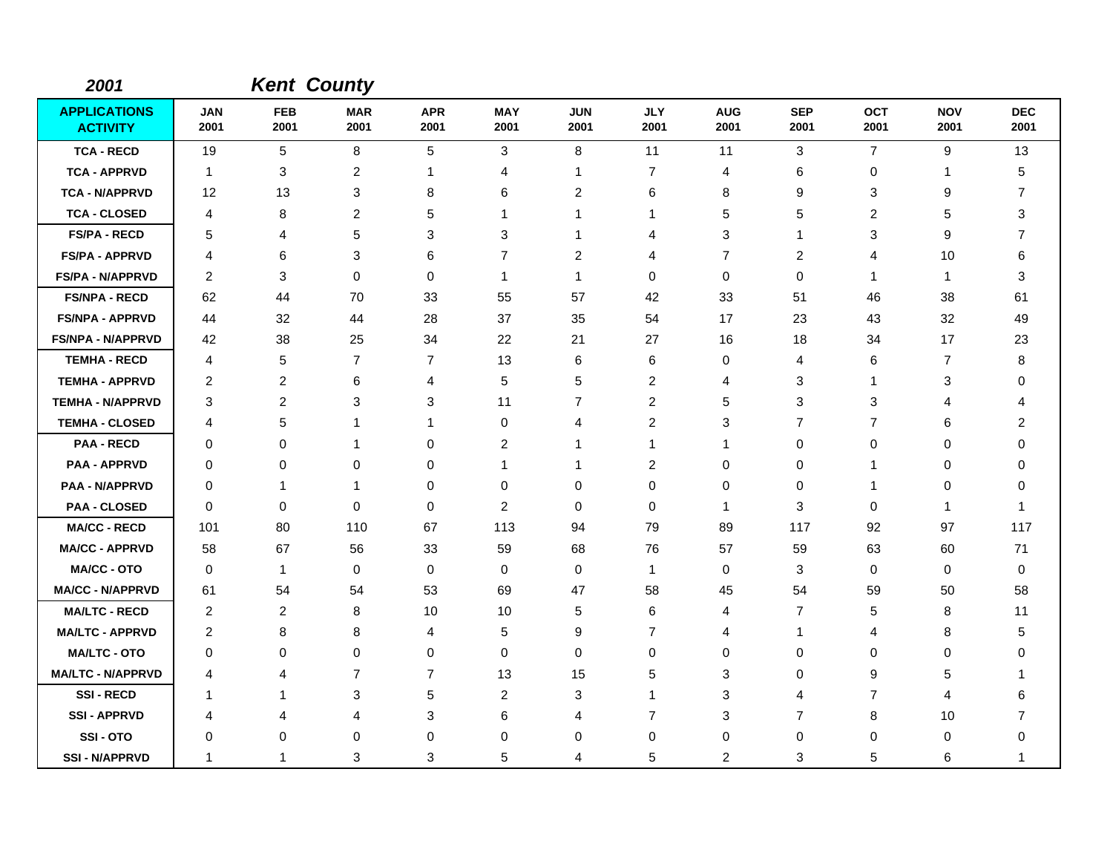| 2001                                   |                    | <b>Kent County</b> |                    |                    |                    |                    |                    |                    |                    |                    |                    |                    |
|----------------------------------------|--------------------|--------------------|--------------------|--------------------|--------------------|--------------------|--------------------|--------------------|--------------------|--------------------|--------------------|--------------------|
| <b>APPLICATIONS</b><br><b>ACTIVITY</b> | <b>JAN</b><br>2001 | <b>FEB</b><br>2001 | <b>MAR</b><br>2001 | <b>APR</b><br>2001 | <b>MAY</b><br>2001 | <b>JUN</b><br>2001 | <b>JLY</b><br>2001 | <b>AUG</b><br>2001 | <b>SEP</b><br>2001 | <b>OCT</b><br>2001 | <b>NOV</b><br>2001 | <b>DEC</b><br>2001 |
| <b>TCA - RECD</b>                      | 19                 | 5                  | 8                  | 5                  | 3                  | 8                  | 11                 | 11                 | $\mathbf{3}$       | $\overline{7}$     | 9                  | 13                 |
| <b>TCA - APPRVD</b>                    | $\overline{1}$     | 3                  | $\overline{c}$     | -1                 | 4                  | $\mathbf{1}$       | 7                  | 4                  | 6                  | 0                  | $\mathbf{1}$       | 5                  |
| <b>TCA - N/APPRVD</b>                  | 12                 | 13                 | 3                  | 8                  | 6                  | $\overline{c}$     | 6                  | 8                  | 9                  | 3                  | 9                  | $\overline{7}$     |
| <b>TCA - CLOSED</b>                    | 4                  | 8                  | $\overline{2}$     | 5                  | $\mathbf 1$        | $\mathbf 1$        | 1                  | 5                  | 5                  | $\overline{c}$     | 5                  | 3                  |
| <b>FS/PA - RECD</b>                    | 5                  | 4                  | 5                  | 3                  | 3                  | 1                  | 4                  | 3                  | -1                 | 3                  | 9                  | 7                  |
| <b>FS/PA - APPRVD</b>                  | 4                  | 6                  | 3                  | 6                  | 7                  | $\overline{c}$     | 4                  | 7                  | 2                  | 4                  | 10                 | 6                  |
| FS/PA - N/APPRVD                       | 2                  | 3                  | $\Omega$           | $\Omega$           | -1                 | $\mathbf{1}$       | $\Omega$           | 0                  | $\Omega$           | 1                  | -1                 | 3                  |
| <b>FS/NPA - RECD</b>                   | 62                 | 44                 | 70                 | 33                 | 55                 | 57                 | 42                 | 33                 | 51                 | 46                 | 38                 | 61                 |
| <b>FS/NPA - APPRVD</b>                 | 44                 | 32                 | 44                 | 28                 | 37                 | 35                 | 54                 | 17                 | 23                 | 43                 | 32                 | 49                 |
| <b>FS/NPA - N/APPRVD</b>               | 42                 | 38                 | 25                 | 34                 | 22                 | 21                 | 27                 | 16                 | 18                 | 34                 | 17                 | 23                 |
| <b>TEMHA - RECD</b>                    | 4                  | 5                  | $\overline{7}$     | $\overline{7}$     | 13                 | 6                  | 6                  | 0                  | 4                  | 6                  | $\overline{7}$     | 8                  |
| <b>TEMHA - APPRVD</b>                  | 2                  | 2                  | 6                  | 4                  | 5                  | 5                  | 2                  | 4                  | 3                  | 1                  | 3                  | 0                  |
| <b>TEMHA - N/APPRVD</b>                | 3                  | $\overline{2}$     | 3                  | 3                  | 11                 | $\overline{7}$     | $\overline{c}$     | 5                  | $\mathbf{3}$       | 3                  | 4                  | 4                  |
| <b>TEMHA - CLOSED</b>                  | 4                  | 5                  | 1                  | 1                  | 0                  | 4                  | 2                  | 3                  | $\overline{7}$     | $\overline{7}$     | 6                  | 2                  |
| <b>PAA - RECD</b>                      | 0                  | 0                  | 1                  | 0                  | 2                  | 1                  | 1                  | -1                 | $\mathbf 0$        | 0                  | 0                  | 0                  |
| <b>PAA - APPRVD</b>                    | 0                  | $\mathbf 0$        | 0                  | 0                  | -1                 | $\mathbf 1$        | 2                  | 0                  | 0                  | 1                  | 0                  | 0                  |
| <b>PAA - N/APPRVD</b>                  | 0                  | 1                  | -1                 | 0                  | 0                  | 0                  | 0                  | 0                  | 0                  | 1                  | 0                  | 0                  |
| <b>PAA - CLOSED</b>                    | 0                  | 0                  | $\mathbf 0$        | 0                  | $\overline{2}$     | 0                  | 0                  | $\mathbf{1}$       | 3                  | 0                  | $\mathbf 1$        | 1                  |
| <b>MA/CC - RECD</b>                    | 101                | 80                 | 110                | 67                 | 113                | 94                 | 79                 | 89                 | 117                | 92                 | 97                 | 117                |
| <b>MA/CC - APPRVD</b>                  | 58                 | 67                 | 56                 | 33                 | 59                 | 68                 | 76                 | 57                 | 59                 | 63                 | 60                 | 71                 |
| <b>MA/CC - OTO</b>                     | $\mathbf 0$        | $\mathbf{1}$       | $\mathbf 0$        | 0                  | 0                  | 0                  | $\mathbf{1}$       | 0                  | 3                  | 0                  | 0                  | 0                  |
| <b>MA/CC - N/APPRVD</b>                | 61                 | 54                 | 54                 | 53                 | 69                 | 47                 | 58                 | 45                 | 54                 | 59                 | 50                 | 58                 |
| <b>MA/LTC - RECD</b>                   | 2                  | $\overline{2}$     | 8                  | 10                 | 10                 | 5                  | 6                  | 4                  | 7                  | 5                  | 8                  | 11                 |
| <b>MA/LTC - APPRVD</b>                 | 2                  | 8                  | 8                  | 4                  | 5                  | 9                  | $\overline{7}$     | 4                  | $\mathbf 1$        | 4                  | 8                  | 5                  |
| <b>MA/LTC - OTO</b>                    | 0                  | 0                  | $\mathbf 0$        | 0                  | $\mathbf 0$        | 0                  | 0                  | 0                  | 0                  | 0                  | 0                  | 0                  |
| <b>MA/LTC - N/APPRVD</b>               | 4                  | 4                  | $\overline{7}$     | $\overline{7}$     | 13                 | 15                 | 5                  | 3                  | $\Omega$           | 9                  | 5                  | 1                  |
| <b>SSI-RECD</b>                        | -1                 | 1                  | 3                  | 5                  | $\overline{2}$     | 3                  | $\mathbf 1$        | 3                  | 4                  | $\overline{7}$     | 4                  | 6                  |
| <b>SSI-APPRVD</b>                      | 4                  | 4                  | 4                  | 3                  | 6                  | $\overline{4}$     | $\overline{7}$     | 3                  | $\overline{7}$     | 8                  | 10                 | $\overline{7}$     |
| SSI-OTO                                | 0                  | 0                  | 0                  | $\Omega$           | 0                  | 0                  | 0                  | 0                  | 0                  | 0                  | 0                  | 0                  |
| <b>SSI - N/APPRVD</b>                  | 1                  | 1                  | 3                  | 3                  | 5                  | 4                  | 5                  | 2                  | 3                  | 5                  | 6                  | 1                  |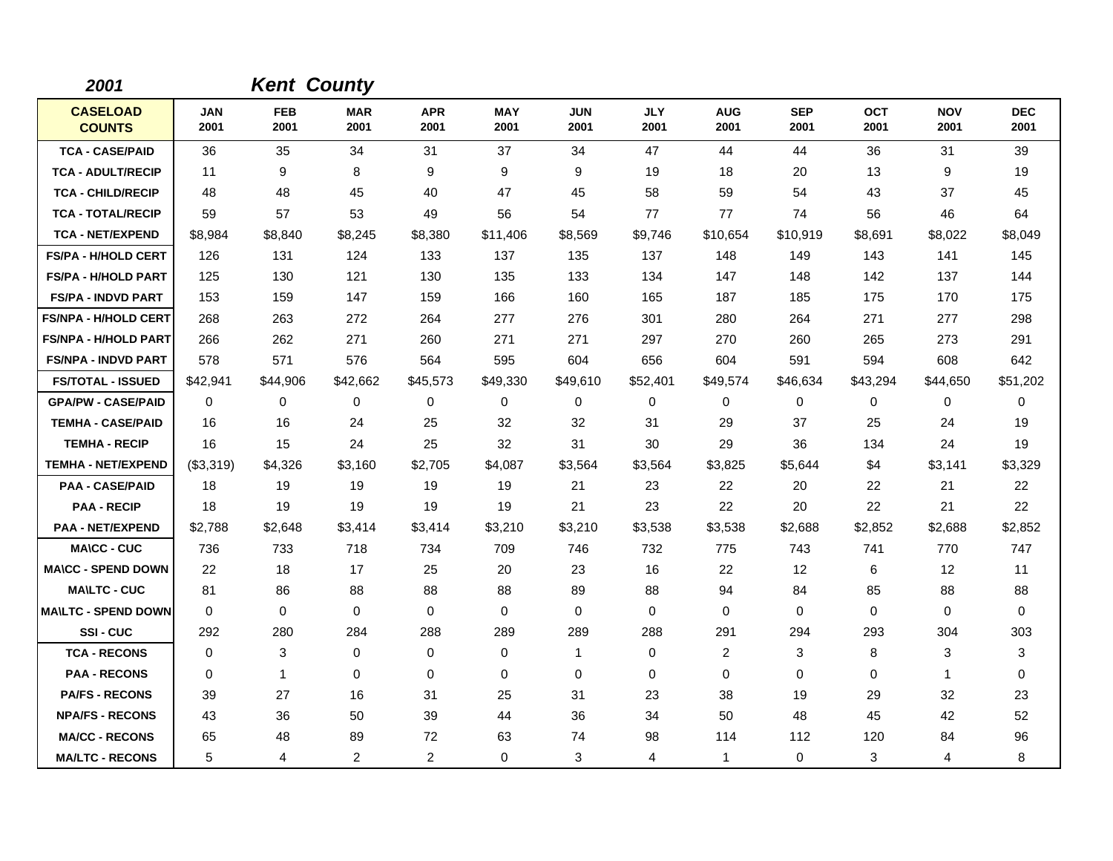| 2001                             |                    | <b>Kent County</b> |                    |                    |                    |                    |                    |                    |                    |                    |                    |                    |
|----------------------------------|--------------------|--------------------|--------------------|--------------------|--------------------|--------------------|--------------------|--------------------|--------------------|--------------------|--------------------|--------------------|
| <b>CASELOAD</b><br><b>COUNTS</b> | <b>JAN</b><br>2001 | <b>FEB</b><br>2001 | <b>MAR</b><br>2001 | <b>APR</b><br>2001 | <b>MAY</b><br>2001 | <b>JUN</b><br>2001 | <b>JLY</b><br>2001 | <b>AUG</b><br>2001 | <b>SEP</b><br>2001 | <b>OCT</b><br>2001 | <b>NOV</b><br>2001 | <b>DEC</b><br>2001 |
| <b>TCA - CASE/PAID</b>           | 36                 | 35                 | 34                 | 31                 | 37                 | 34                 | 47                 | 44                 | 44                 | 36                 | 31                 | 39                 |
| <b>TCA - ADULT/RECIP</b>         | 11                 | 9                  | 8                  | 9                  | 9                  | 9                  | 19                 | 18                 | 20                 | 13                 | 9                  | 19                 |
| <b>TCA - CHILD/RECIP</b>         | 48                 | 48                 | 45                 | 40                 | 47                 | 45                 | 58                 | 59                 | 54                 | 43                 | 37                 | 45                 |
| <b>TCA - TOTAL/RECIP</b>         | 59                 | 57                 | 53                 | 49                 | 56                 | 54                 | 77                 | 77                 | 74                 | 56                 | 46                 | 64                 |
| <b>TCA - NET/EXPEND</b>          | \$8,984            | \$8,840            | \$8,245            | \$8,380            | \$11,406           | \$8,569            | \$9,746            | \$10,654           | \$10,919           | \$8,691            | \$8,022            | \$8,049            |
| <b>FS/PA - H/HOLD CERT</b>       | 126                | 131                | 124                | 133                | 137                | 135                | 137                | 148                | 149                | 143                | 141                | 145                |
| <b>FS/PA - H/HOLD PART</b>       | 125                | 130                | 121                | 130                | 135                | 133                | 134                | 147                | 148                | 142                | 137                | 144                |
| <b>FS/PA - INDVD PART</b>        | 153                | 159                | 147                | 159                | 166                | 160                | 165                | 187                | 185                | 175                | 170                | 175                |
| <b>FS/NPA - H/HOLD CERT</b>      | 268                | 263                | 272                | 264                | 277                | 276                | 301                | 280                | 264                | 271                | 277                | 298                |
| <b>FS/NPA - H/HOLD PART</b>      | 266                | 262                | 271                | 260                | 271                | 271                | 297                | 270                | 260                | 265                | 273                | 291                |
| <b>FS/NPA - INDVD PART</b>       | 578                | 571                | 576                | 564                | 595                | 604                | 656                | 604                | 591                | 594                | 608                | 642                |
| <b>FS/TOTAL - ISSUED</b>         | \$42,941           | \$44,906           | \$42,662           | \$45,573           | \$49,330           | \$49,610           | \$52,401           | \$49,574           | \$46,634           | \$43,294           | \$44,650           | \$51,202           |
| <b>GPA/PW - CASE/PAID</b>        | 0                  | 0                  | $\mathbf 0$        | 0                  | $\mathbf 0$        | 0                  | 0                  | 0                  | 0                  | 0                  | 0                  | 0                  |
| <b>TEMHA - CASE/PAID</b>         | 16                 | 16                 | 24                 | 25                 | 32                 | 32                 | 31                 | 29                 | 37                 | 25                 | 24                 | 19                 |
| <b>TEMHA - RECIP</b>             | 16                 | 15                 | 24                 | 25                 | 32                 | 31                 | 30                 | 29                 | 36                 | 134                | 24                 | 19                 |
| <b>TEMHA - NET/EXPEND</b>        | (\$3,319)          | \$4,326            | \$3,160            | \$2,705            | \$4,087            | \$3,564            | \$3,564            | \$3,825            | \$5,644            | \$4                | \$3,141            | \$3,329            |
| <b>PAA - CASE/PAID</b>           | 18                 | 19                 | 19                 | 19                 | 19                 | 21                 | 23                 | 22                 | 20                 | 22                 | 21                 | 22                 |
| <b>PAA - RECIP</b>               | 18                 | 19                 | 19                 | 19                 | 19                 | 21                 | 23                 | 22                 | 20                 | 22                 | 21                 | 22                 |
| <b>PAA - NET/EXPEND</b>          | \$2,788            | \$2,648            | \$3,414            | \$3,414            | \$3,210            | \$3,210            | \$3,538            | \$3,538            | \$2,688            | \$2,852            | \$2,688            | \$2,852            |
| <b>MA\CC - CUC</b>               | 736                | 733                | 718                | 734                | 709                | 746                | 732                | 775                | 743                | 741                | 770                | 747                |
| <b>MA\CC - SPEND DOWN</b>        | 22                 | 18                 | 17                 | 25                 | 20                 | 23                 | 16                 | 22                 | 12                 | 6                  | 12                 | 11                 |
| <b>MA\LTC - CUC</b>              | 81                 | 86                 | 88                 | 88                 | 88                 | 89                 | 88                 | 94                 | 84                 | 85                 | 88                 | 88                 |
| <b>MAILTC - SPEND DOWN</b>       | 0                  | 0                  | $\mathbf 0$        | $\mathbf 0$        | $\mathbf 0$        | $\Omega$           | 0                  | 0                  | 0                  | 0                  | 0                  | 0                  |
| SSI-CUC                          | 292                | 280                | 284                | 288                | 289                | 289                | 288                | 291                | 294                | 293                | 304                | 303                |
| <b>TCA - RECONS</b>              | $\Omega$           | 3                  | $\mathbf 0$        | 0                  | $\mathbf 0$        | 1                  | $\Omega$           | 2                  | 3                  | 8                  | 3                  | 3                  |
| <b>PAA - RECONS</b>              | $\mathbf 0$        | $\mathbf{1}$       | $\Omega$           | $\mathbf 0$        | $\mathbf 0$        | $\mathbf 0$        | 0                  | 0                  | 0                  | 0                  | $\mathbf{1}$       | 0                  |
| <b>PA/FS - RECONS</b>            | 39                 | 27                 | 16                 | 31                 | 25                 | 31                 | 23                 | 38                 | 19                 | 29                 | 32                 | 23                 |
| <b>NPA/FS - RECONS</b>           | 43                 | 36                 | 50                 | 39                 | 44                 | 36                 | 34                 | 50                 | 48                 | 45                 | 42                 | 52                 |
| <b>MA/CC - RECONS</b>            | 65                 | 48                 | 89                 | 72                 | 63                 | 74                 | 98                 | 114                | 112                | 120                | 84                 | 96                 |
| <b>MA/LTC - RECONS</b>           | 5                  | 4                  | 2                  | $\overline{2}$     | $\mathbf 0$        | 3                  | 4                  | $\mathbf{1}$       | 0                  | 3                  | 4                  | 8                  |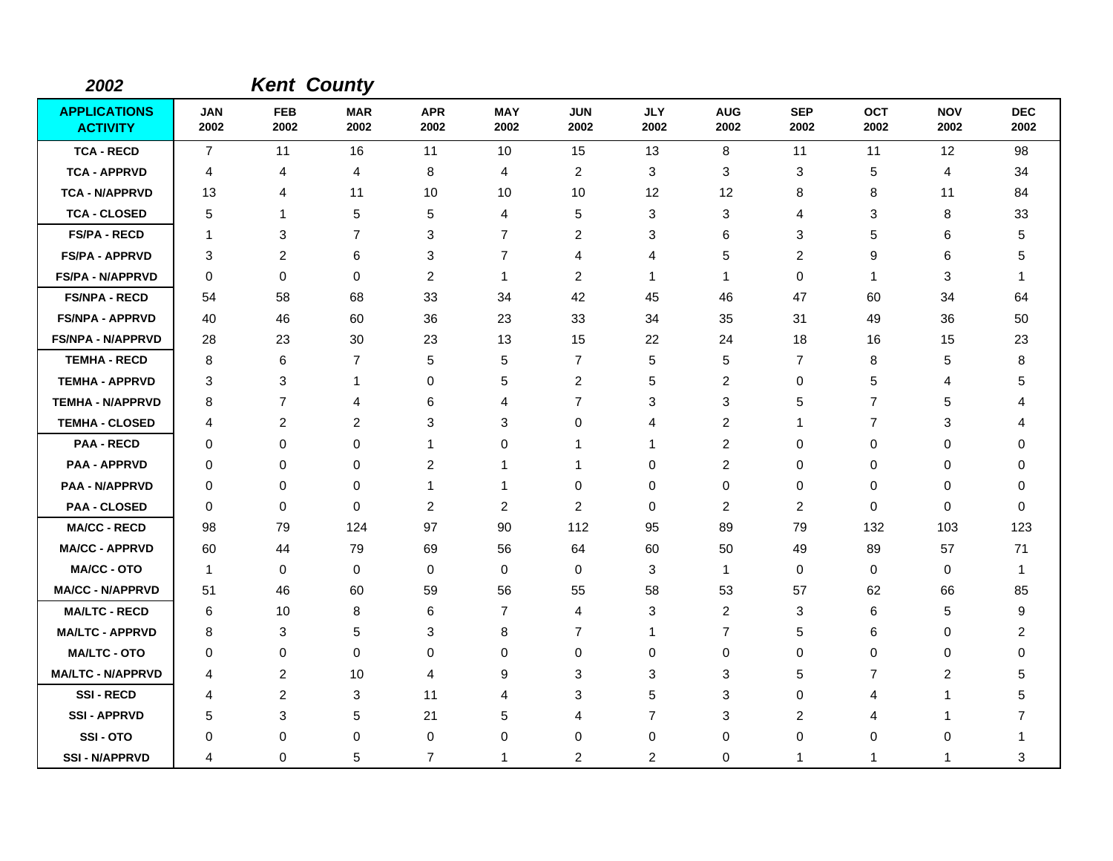| 2002                                   |                    |                    | <b>Kent County</b> |                    |                    |                    |                    |                    |                    |                    |                    |                    |
|----------------------------------------|--------------------|--------------------|--------------------|--------------------|--------------------|--------------------|--------------------|--------------------|--------------------|--------------------|--------------------|--------------------|
| <b>APPLICATIONS</b><br><b>ACTIVITY</b> | <b>JAN</b><br>2002 | <b>FEB</b><br>2002 | <b>MAR</b><br>2002 | <b>APR</b><br>2002 | <b>MAY</b><br>2002 | <b>JUN</b><br>2002 | <b>JLY</b><br>2002 | <b>AUG</b><br>2002 | <b>SEP</b><br>2002 | <b>OCT</b><br>2002 | <b>NOV</b><br>2002 | <b>DEC</b><br>2002 |
| <b>TCA - RECD</b>                      | $\overline{7}$     | 11                 | 16                 | 11                 | 10                 | 15                 | 13                 | 8                  | 11                 | 11                 | 12                 | 98                 |
| <b>TCA - APPRVD</b>                    | 4                  | 4                  | 4                  | 8                  | 4                  | $\overline{c}$     | 3                  | 3                  | 3                  | 5                  | 4                  | 34                 |
| <b>TCA - N/APPRVD</b>                  | 13                 | 4                  | 11                 | 10                 | 10                 | 10                 | 12                 | 12                 | 8                  | 8                  | 11                 | 84                 |
| <b>TCA - CLOSED</b>                    | 5                  | 1                  | 5                  | 5                  | 4                  | 5                  | 3                  | 3                  | 4                  | 3                  | 8                  | 33                 |
| <b>FS/PA - RECD</b>                    | $\overline{1}$     | 3                  | $\overline{7}$     | 3                  | $\overline{7}$     | $\overline{c}$     | 3                  | 6                  | 3                  | 5                  | 6                  | 5                  |
| <b>FS/PA - APPRVD</b>                  | 3                  | $\overline{2}$     | 6                  | 3                  | $\overline{7}$     | 4                  | 4                  | 5                  | 2                  | 9                  | 6                  | 5                  |
| <b>FS/PA - N/APPRVD</b>                | $\mathbf 0$        | 0                  | $\mathbf 0$        | $\overline{c}$     | $\mathbf{1}$       | $\overline{2}$     | 1                  | 1                  | $\mathbf 0$        | $\mathbf{1}$       | 3                  | 1                  |
| <b>FS/NPA - RECD</b>                   | 54                 | 58                 | 68                 | 33                 | 34                 | 42                 | 45                 | 46                 | 47                 | 60                 | 34                 | 64                 |
| <b>FS/NPA - APPRVD</b>                 | 40                 | 46                 | 60                 | 36                 | 23                 | 33                 | 34                 | 35                 | 31                 | 49                 | 36                 | 50                 |
| <b>FS/NPA - N/APPRVD</b>               | 28                 | 23                 | 30                 | 23                 | 13                 | 15                 | 22                 | 24                 | 18                 | 16                 | 15                 | 23                 |
| <b>TEMHA - RECD</b>                    | 8                  | 6                  | $\overline{7}$     | 5                  | 5                  | $\overline{7}$     | 5                  | 5                  | $\overline{7}$     | 8                  | 5                  | 8                  |
| <b>TEMHA - APPRVD</b>                  | 3                  | 3                  | $\mathbf{1}$       | 0                  | 5                  | $\overline{c}$     | 5                  | 2                  | 0                  | 5                  | 4                  | 5                  |
| <b>TEMHA - N/APPRVD</b>                | 8                  | $\overline{7}$     | 4                  | 6                  | 4                  | $\overline{7}$     | 3                  | 3                  | 5                  | 7                  | 5                  | Δ                  |
| <b>TEMHA - CLOSED</b>                  | 4                  | 2                  | 2                  | 3                  | 3                  | 0                  | 4                  | 2                  | $\mathbf 1$        | $\overline{7}$     | 3                  | Δ                  |
| <b>PAA - RECD</b>                      | 0                  | 0                  | $\mathbf 0$        | 1                  | 0                  | 1                  | 1                  | 2                  | 0                  | 0                  | $\Omega$           | 0                  |
| <b>PAA - APPRVD</b>                    | 0                  | 0                  | 0                  | 2                  | 1                  | 1                  | 0                  | 2                  | $\mathbf 0$        | 0                  | 0                  | 0                  |
| <b>PAA - N/APPRVD</b>                  | 0                  | 0                  | $\mathbf 0$        | 1                  | -1                 | 0                  | 0                  | 0                  | 0                  | 0                  | 0                  | 0                  |
| <b>PAA - CLOSED</b>                    | $\mathbf 0$        | 0                  | $\mathbf 0$        | 2                  | $\overline{2}$     | $\overline{c}$     | 0                  | 2                  | $\overline{c}$     | 0                  | $\mathbf 0$        | $\Omega$           |
| <b>MA/CC - RECD</b>                    | 98                 | 79                 | 124                | 97                 | 90                 | 112                | 95                 | 89                 | 79                 | 132                | 103                | 123                |
| <b>MA/CC - APPRVD</b>                  | 60                 | 44                 | 79                 | 69                 | 56                 | 64                 | 60                 | 50                 | 49                 | 89                 | 57                 | 71                 |
| <b>MA/CC - OTO</b>                     | $\mathbf{1}$       | 0                  | $\mathbf 0$        | $\mathbf 0$        | $\mathbf 0$        | 0                  | 3                  | $\mathbf{1}$       | $\mathbf 0$        | 0                  | $\mathbf 0$        | $\mathbf{1}$       |
| <b>MA/CC - N/APPRVD</b>                | 51                 | 46                 | 60                 | 59                 | 56                 | 55                 | 58                 | 53                 | 57                 | 62                 | 66                 | 85                 |
| <b>MA/LTC - RECD</b>                   | 6                  | 10                 | 8                  | 6                  | $\overline{7}$     | 4                  | 3                  | 2                  | 3                  | 6                  | 5                  | 9                  |
| <b>MA/LTC - APPRVD</b>                 | 8                  | 3                  | 5                  | 3                  | 8                  | $\overline{7}$     | 1                  | $\overline{7}$     | 5                  | 6                  | 0                  | 2                  |
| <b>MA/LTC - OTO</b>                    | 0                  | 0                  | $\mathbf 0$        | $\Omega$           | $\mathbf 0$        | 0                  | 0                  | 0                  | 0                  | 0                  | 0                  | 0                  |
| <b>MA/LTC - N/APPRVD</b>               | 4                  | $\overline{c}$     | 10                 | 4                  | 9                  | 3                  | 3                  | 3                  | 5                  | 7                  | $\overline{c}$     | 5                  |
| <b>SSI-RECD</b>                        | 4                  | $\boldsymbol{2}$   | 3                  | 11                 | 4                  | 3                  | 5                  | 3                  | 0                  | 4                  | -1                 | 5                  |
| <b>SSI - APPRVD</b>                    | 5                  | 3                  | 5                  | 21                 | 5                  | 4                  | $\overline{7}$     | 3                  | $\overline{2}$     | 4                  | 1                  | 7                  |
| SSI-OTO                                | 0                  | 0                  | $\mathbf 0$        | 0                  | 0                  | 0                  | 0                  | 0                  | 0                  | 0                  | $\Omega$           | 1                  |
| <b>SSI - N/APPRVD</b>                  | 4                  | $\mathbf 0$        | 5                  | $\overline{7}$     | -1                 | $\overline{c}$     | $\overline{c}$     | 0                  | -1                 | 1                  | -1                 | 3                  |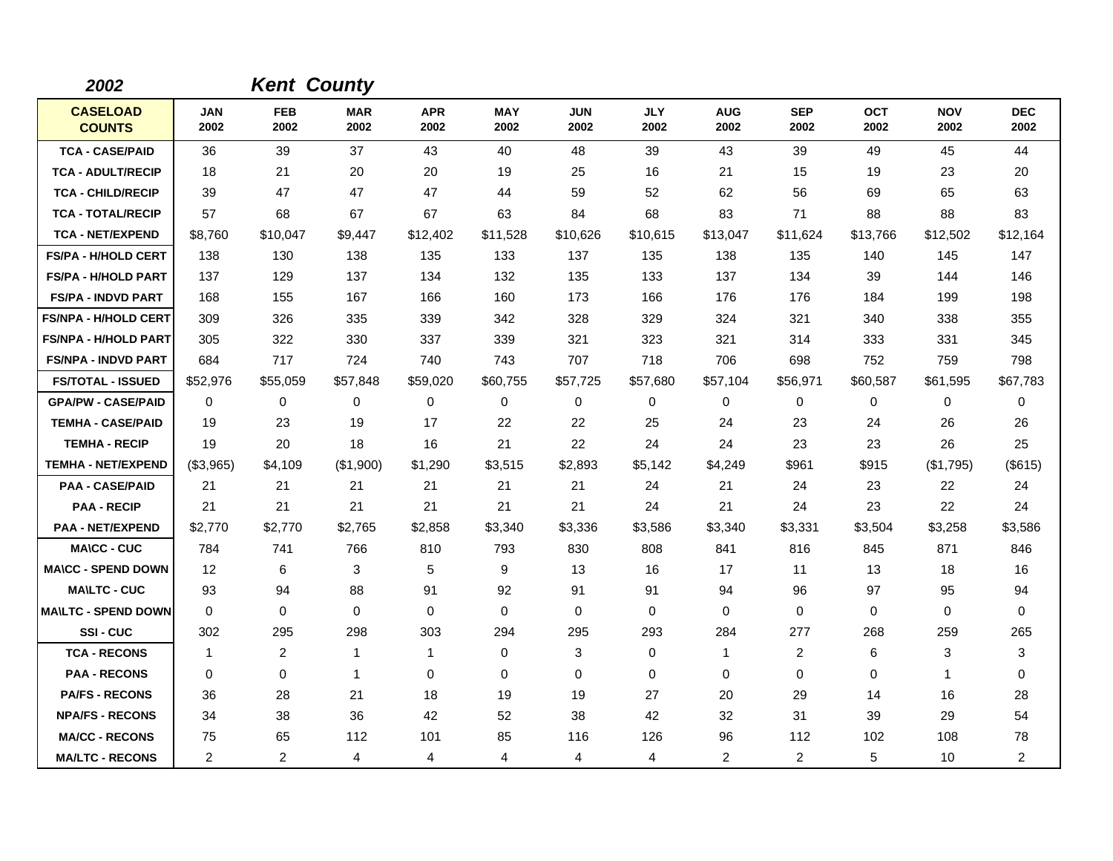| 2002                             |                    | <b>Kent County</b> |                    |                    |                    |                    |                    |                    |                    |                    |                    |                    |
|----------------------------------|--------------------|--------------------|--------------------|--------------------|--------------------|--------------------|--------------------|--------------------|--------------------|--------------------|--------------------|--------------------|
| <b>CASELOAD</b><br><b>COUNTS</b> | <b>JAN</b><br>2002 | <b>FEB</b><br>2002 | <b>MAR</b><br>2002 | <b>APR</b><br>2002 | <b>MAY</b><br>2002 | <b>JUN</b><br>2002 | <b>JLY</b><br>2002 | <b>AUG</b><br>2002 | <b>SEP</b><br>2002 | <b>OCT</b><br>2002 | <b>NOV</b><br>2002 | <b>DEC</b><br>2002 |
| <b>TCA - CASE/PAID</b>           | 36                 | 39                 | 37                 | 43                 | 40                 | 48                 | 39                 | 43                 | 39                 | 49                 | 45                 | 44                 |
| <b>TCA - ADULT/RECIP</b>         | 18                 | 21                 | 20                 | 20                 | 19                 | 25                 | 16                 | 21                 | 15                 | 19                 | 23                 | 20                 |
| <b>TCA - CHILD/RECIP</b>         | 39                 | 47                 | 47                 | 47                 | 44                 | 59                 | 52                 | 62                 | 56                 | 69                 | 65                 | 63                 |
| <b>TCA - TOTAL/RECIP</b>         | 57                 | 68                 | 67                 | 67                 | 63                 | 84                 | 68                 | 83                 | 71                 | 88                 | 88                 | 83                 |
| <b>TCA - NET/EXPEND</b>          | \$8,760            | \$10,047           | \$9,447            | \$12,402           | \$11,528           | \$10,626           | \$10,615           | \$13,047           | \$11,624           | \$13,766           | \$12,502           | \$12,164           |
| <b>FS/PA - H/HOLD CERT</b>       | 138                | 130                | 138                | 135                | 133                | 137                | 135                | 138                | 135                | 140                | 145                | 147                |
| <b>FS/PA - H/HOLD PART</b>       | 137                | 129                | 137                | 134                | 132                | 135                | 133                | 137                | 134                | 39                 | 144                | 146                |
| <b>FS/PA - INDVD PART</b>        | 168                | 155                | 167                | 166                | 160                | 173                | 166                | 176                | 176                | 184                | 199                | 198                |
| <b>FS/NPA - H/HOLD CERT</b>      | 309                | 326                | 335                | 339                | 342                | 328                | 329                | 324                | 321                | 340                | 338                | 355                |
| <b>FS/NPA - H/HOLD PART</b>      | 305                | 322                | 330                | 337                | 339                | 321                | 323                | 321                | 314                | 333                | 331                | 345                |
| <b>FS/NPA - INDVD PART</b>       | 684                | 717                | 724                | 740                | 743                | 707                | 718                | 706                | 698                | 752                | 759                | 798                |
| <b>FS/TOTAL - ISSUED</b>         | \$52,976           | \$55,059           | \$57,848           | \$59,020           | \$60,755           | \$57,725           | \$57,680           | \$57,104           | \$56,971           | \$60,587           | \$61,595           | \$67,783           |
| <b>GPA/PW - CASE/PAID</b>        | 0                  | 0                  | 0                  | $\mathbf 0$        | $\mathbf 0$        | 0                  | 0                  | 0                  | 0                  | 0                  | 0                  | 0                  |
| <b>TEMHA - CASE/PAID</b>         | 19                 | 23                 | 19                 | 17                 | 22                 | 22                 | 25                 | 24                 | 23                 | 24                 | 26                 | 26                 |
| <b>TEMHA - RECIP</b>             | 19                 | 20                 | 18                 | 16                 | 21                 | 22                 | 24                 | 24                 | 23                 | 23                 | 26                 | 25                 |
| <b>TEMHA - NET/EXPEND</b>        | (\$3,965)          | \$4,109            | (\$1,900)          | \$1,290            | \$3,515            | \$2,893            | \$5,142            | \$4,249            | \$961              | \$915              | (\$1,795)          | (\$615)            |
| <b>PAA - CASE/PAID</b>           | 21                 | 21                 | 21                 | 21                 | 21                 | 21                 | 24                 | 21                 | 24                 | 23                 | 22                 | 24                 |
| <b>PAA - RECIP</b>               | 21                 | 21                 | 21                 | 21                 | 21                 | 21                 | 24                 | 21                 | 24                 | 23                 | 22                 | 24                 |
| <b>PAA - NET/EXPEND</b>          | \$2,770            | \$2,770            | \$2,765            | \$2,858            | \$3,340            | \$3,336            | \$3,586            | \$3,340            | \$3,331            | \$3,504            | \$3,258            | \$3,586            |
| <b>MA\CC - CUC</b>               | 784                | 741                | 766                | 810                | 793                | 830                | 808                | 841                | 816                | 845                | 871                | 846                |
| <b>MA\CC - SPEND DOWN</b>        | $12 \overline{ }$  | 6                  | 3                  | 5                  | 9                  | 13                 | 16                 | 17                 | 11                 | 13                 | 18                 | 16                 |
| <b>MA\LTC - CUC</b>              | 93                 | 94                 | 88                 | 91                 | 92                 | 91                 | 91                 | 94                 | 96                 | 97                 | 95                 | 94                 |
| <b>MAILTC - SPEND DOWN</b>       | 0                  | 0                  | $\mathbf 0$        | $\mathbf 0$        | $\mathbf 0$        | $\Omega$           | $\mathbf 0$        | $\mathbf 0$        | $\Omega$           | 0                  | 0                  | 0                  |
| SSI-CUC                          | 302                | 295                | 298                | 303                | 294                | 295                | 293                | 284                | 277                | 268                | 259                | 265                |
| <b>TCA - RECONS</b>              | $\overline{1}$     | 2                  | $\mathbf{1}$       | $\mathbf{1}$       | $\mathbf 0$        | 3                  | $\Omega$           | $\mathbf{1}$       | 2                  | 6                  | 3                  | 3                  |
| <b>PAA - RECONS</b>              | $\mathbf 0$        | 0                  | $\mathbf{1}$       | $\mathbf 0$        | $\mathbf 0$        | $\Omega$           | $\mathbf 0$        | $\mathbf 0$        | $\mathbf 0$        | 0                  | $\mathbf{1}$       | 0                  |
| <b>PA/FS - RECONS</b>            | 36                 | 28                 | 21                 | 18                 | 19                 | 19                 | 27                 | 20                 | 29                 | 14                 | 16                 | 28                 |
| <b>NPA/FS - RECONS</b>           | 34                 | 38                 | 36                 | 42                 | 52                 | 38                 | 42                 | 32                 | 31                 | 39                 | 29                 | 54                 |
| <b>MA/CC - RECONS</b>            | 75                 | 65                 | 112                | 101                | 85                 | 116                | 126                | 96                 | 112                | 102                | 108                | 78                 |
| <b>MA/LTC - RECONS</b>           | 2                  | $\overline{2}$     | $\overline{4}$     | 4                  | 4                  | 4                  | 4                  | 2                  | 2                  | 5                  | 10                 | $\overline{2}$     |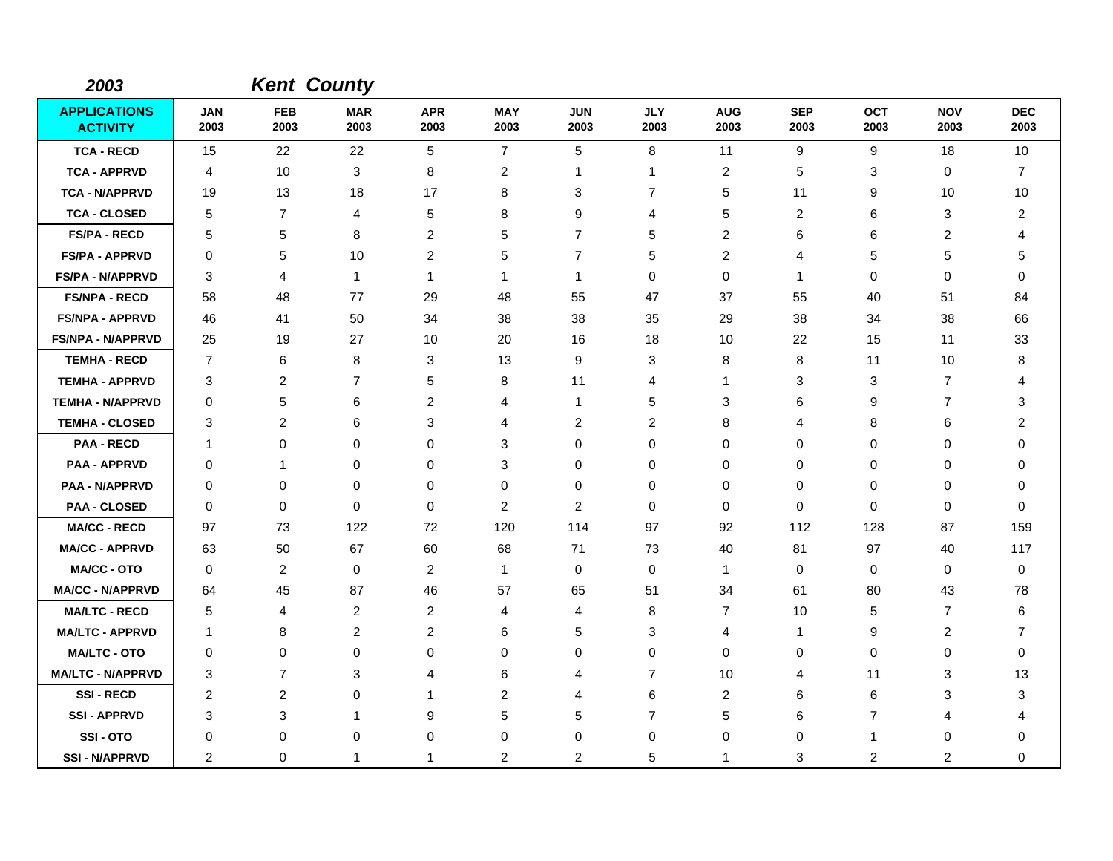| 2003                                   |                    | <b>Kent County</b> |                    |                    |                    |                    |                    |                    |                    |                    |                    |                    |
|----------------------------------------|--------------------|--------------------|--------------------|--------------------|--------------------|--------------------|--------------------|--------------------|--------------------|--------------------|--------------------|--------------------|
| <b>APPLICATIONS</b><br><b>ACTIVITY</b> | <b>JAN</b><br>2003 | <b>FEB</b><br>2003 | <b>MAR</b><br>2003 | <b>APR</b><br>2003 | <b>MAY</b><br>2003 | <b>JUN</b><br>2003 | <b>JLY</b><br>2003 | <b>AUG</b><br>2003 | <b>SEP</b><br>2003 | <b>OCT</b><br>2003 | <b>NOV</b><br>2003 | <b>DEC</b><br>2003 |
| <b>TCA - RECD</b>                      | 15                 | 22                 | 22                 | 5                  | $\overline{7}$     | 5                  | 8                  | 11                 | 9                  | 9                  | 18                 | 10                 |
| <b>TCA - APPRVD</b>                    | 4                  | 10                 | 3                  | 8                  | $\overline{2}$     | $\mathbf 1$        | 1                  | $\overline{2}$     | 5                  | 3                  | 0                  | 7                  |
| <b>TCA - N/APPRVD</b>                  | 19                 | 13                 | 18                 | 17                 | 8                  | 3                  | $\overline{7}$     | 5                  | 11                 | 9                  | 10                 | 10                 |
| <b>TCA - CLOSED</b>                    | 5                  | $\overline{7}$     | 4                  | 5                  | 8                  | 9                  | 4                  | 5                  | 2                  | 6                  | 3                  | $\overline{2}$     |
| <b>FS/PA - RECD</b>                    | 5                  | 5                  | 8                  | $\overline{c}$     | 5                  | $\overline{7}$     | 5                  | $\overline{c}$     | 6                  | 6                  | $\overline{2}$     | 4                  |
| <b>FS/PA - APPRVD</b>                  | 0                  | 5                  | 10                 | $\overline{2}$     | 5                  | $\overline{7}$     | 5                  | 2                  | 4                  | 5                  | 5                  | 5                  |
| <b>FS/PA - N/APPRVD</b>                | 3                  | 4                  | $\overline{1}$     | $\mathbf{1}$       | $\mathbf 1$        | $\mathbf{1}$       | $\mathbf 0$        | 0                  | 1                  | 0                  | $\mathbf 0$        | 0                  |
| <b>FS/NPA - RECD</b>                   | 58                 | 48                 | 77                 | 29                 | 48                 | 55                 | 47                 | 37                 | 55                 | 40                 | 51                 | 84                 |
| <b>FS/NPA - APPRVD</b>                 | 46                 | 41                 | 50                 | 34                 | 38                 | 38                 | 35                 | 29                 | 38                 | 34                 | 38                 | 66                 |
| <b>FS/NPA - N/APPRVD</b>               | 25                 | 19                 | 27                 | 10                 | 20                 | 16                 | 18                 | 10                 | 22                 | 15                 | 11                 | 33                 |
| <b>TEMHA - RECD</b>                    | $\overline{7}$     | 6                  | 8                  | 3                  | 13                 | 9                  | 3                  | 8                  | 8                  | 11                 | 10                 | 8                  |
| <b>TEMHA - APPRVD</b>                  | 3                  | 2                  | $\overline{7}$     | 5                  | 8                  | 11                 | 4                  | $\mathbf{1}$       | 3                  | 3                  | $\overline{7}$     | 4                  |
| <b>TEMHA - N/APPRVD</b>                | 0                  | 5                  | 6                  | 2                  | 4                  | $\mathbf{1}$       | 5                  | 3                  | 6                  | 9                  | $\overline{7}$     | 3                  |
| <b>TEMHA - CLOSED</b>                  | 3                  | 2                  | 6                  | 3                  | 4                  | $\overline{2}$     | $\overline{c}$     | 8                  | 4                  | 8                  | 6                  | 2                  |
| <b>PAA - RECD</b>                      | $\mathbf 1$        | 0                  | $\Omega$           | $\Omega$           | 3                  | $\Omega$           | 0                  | 0                  | 0                  | 0                  | 0                  | 0                  |
| <b>PAA - APPRVD</b>                    | 0                  | 1                  | 0                  | 0                  | 3                  | 0                  | 0                  | 0                  | 0                  | 0                  | $\mathbf 0$        | 0                  |
| <b>PAA - N/APPRVD</b>                  | $\Omega$           | 0                  | 0                  | 0                  | 0                  | 0                  | 0                  | 0                  | 0                  | 0                  | 0                  | 0                  |
| <b>PAA - CLOSED</b>                    | $\mathbf 0$        | 0                  | $\mathbf 0$        | 0                  | $\overline{2}$     | $\overline{2}$     | 0                  | 0                  | 0                  | 0                  | $\mathbf 0$        | $\Omega$           |
| <b>MA/CC - RECD</b>                    | 97                 | 73                 | 122                | 72                 | 120                | 114                | 97                 | 92                 | 112                | 128                | 87                 | 159                |
| <b>MA/CC - APPRVD</b>                  | 63                 | 50                 | 67                 | 60                 | 68                 | 71                 | 73                 | 40                 | 81                 | 97                 | 40                 | 117                |
| <b>MA/CC - OTO</b>                     | $\mathbf 0$        | 2                  | $\mathbf 0$        | $\overline{2}$     | $\overline{1}$     | 0                  | 0                  | $\mathbf{1}$       | $\mathbf 0$        | 0                  | $\mathbf 0$        | $\mathbf 0$        |
| <b>MA/CC - N/APPRVD</b>                | 64                 | 45                 | 87                 | 46                 | 57                 | 65                 | 51                 | 34                 | 61                 | 80                 | 43                 | 78                 |
| <b>MA/LTC - RECD</b>                   | 5                  | 4                  | 2                  | $\overline{2}$     | 4                  | $\overline{4}$     | 8                  | 7                  | 10                 | 5                  | $\overline{7}$     | 6                  |
| <b>MA/LTC - APPRVD</b>                 | $\mathbf 1$        | 8                  | $\overline{c}$     | $\overline{c}$     | 6                  | 5                  | 3                  | 4                  | $\mathbf{1}$       | 9                  | $\overline{c}$     | $\overline{7}$     |
| <b>MA/LTC - OTO</b>                    | 0                  | 0                  | 0                  | $\Omega$           | 0                  | 0                  | 0                  | 0                  | 0                  | 0                  | $\mathbf 0$        | $\Omega$           |
| <b>MA/LTC - N/APPRVD</b>               | 3                  | $\overline{7}$     | 3                  | 4                  | 6                  | 4                  | $\overline{7}$     | 10                 | 4                  | 11                 | 3                  | 13                 |
| <b>SSI-RECD</b>                        | $\overline{c}$     | $\overline{2}$     | 0                  | -1                 | $\overline{2}$     | 4                  | 6                  | $\overline{c}$     | 6                  | 6                  | 3                  | 3                  |
| <b>SSI - APPRVD</b>                    | 3                  | 3                  | 1                  | 9                  | 5                  | 5                  | $\overline{7}$     | 5                  | 6                  | $\overline{7}$     | 4                  | 4                  |
| SSI-OTO                                | 0                  | 0                  | 0                  | $\Omega$           | 0                  | 0                  | 0                  | 0                  | 0                  | 1                  | 0                  | 0                  |
| <b>SSI - N/APPRVD</b>                  | $\overline{2}$     | 0                  | 1                  | 1                  | $\overline{2}$     | $\overline{c}$     | 5                  | 1                  | 3                  | 2                  | $\overline{c}$     | $\mathbf 0$        |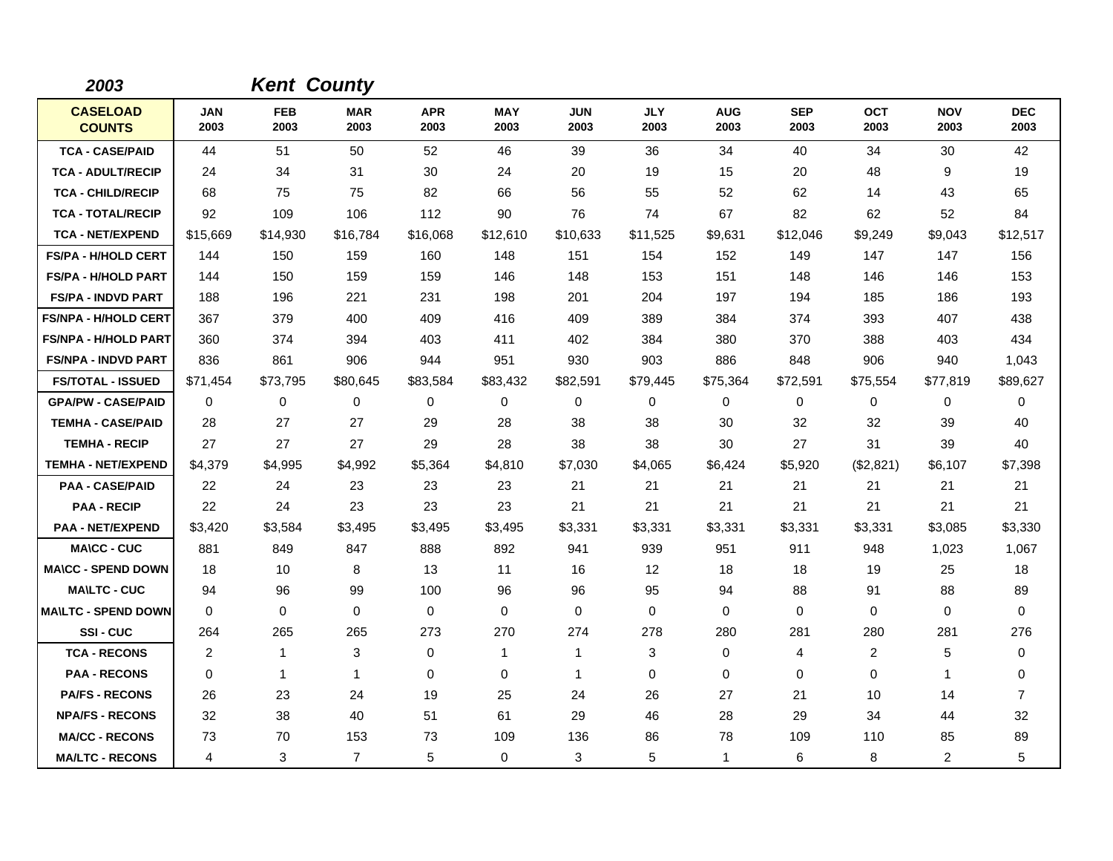| 2003                             |                    | <b>Kent County</b> |                    |                    |                    |                    |                    |                    |                    |                    |                    |                    |
|----------------------------------|--------------------|--------------------|--------------------|--------------------|--------------------|--------------------|--------------------|--------------------|--------------------|--------------------|--------------------|--------------------|
| <b>CASELOAD</b><br><b>COUNTS</b> | <b>JAN</b><br>2003 | <b>FEB</b><br>2003 | <b>MAR</b><br>2003 | <b>APR</b><br>2003 | <b>MAY</b><br>2003 | <b>JUN</b><br>2003 | <b>JLY</b><br>2003 | <b>AUG</b><br>2003 | <b>SEP</b><br>2003 | <b>OCT</b><br>2003 | <b>NOV</b><br>2003 | <b>DEC</b><br>2003 |
| <b>TCA - CASE/PAID</b>           | 44                 | 51                 | 50                 | 52                 | 46                 | 39                 | 36                 | 34                 | 40                 | 34                 | 30                 | 42                 |
| <b>TCA - ADULT/RECIP</b>         | 24                 | 34                 | 31                 | 30                 | 24                 | 20                 | 19                 | 15                 | 20                 | 48                 | 9                  | 19                 |
| <b>TCA - CHILD/RECIP</b>         | 68                 | 75                 | 75                 | 82                 | 66                 | 56                 | 55                 | 52                 | 62                 | 14                 | 43                 | 65                 |
| <b>TCA - TOTAL/RECIP</b>         | 92                 | 109                | 106                | 112                | 90                 | 76                 | 74                 | 67                 | 82                 | 62                 | 52                 | 84                 |
| <b>TCA - NET/EXPEND</b>          | \$15,669           | \$14,930           | \$16,784           | \$16,068           | \$12,610           | \$10,633           | \$11,525           | \$9,631            | \$12,046           | \$9,249            | \$9,043            | \$12,517           |
| <b>FS/PA - H/HOLD CERT</b>       | 144                | 150                | 159                | 160                | 148                | 151                | 154                | 152                | 149                | 147                | 147                | 156                |
| <b>FS/PA - H/HOLD PART</b>       | 144                | 150                | 159                | 159                | 146                | 148                | 153                | 151                | 148                | 146                | 146                | 153                |
| <b>FS/PA - INDVD PART</b>        | 188                | 196                | 221                | 231                | 198                | 201                | 204                | 197                | 194                | 185                | 186                | 193                |
| <b>FS/NPA - H/HOLD CERT</b>      | 367                | 379                | 400                | 409                | 416                | 409                | 389                | 384                | 374                | 393                | 407                | 438                |
| <b>FS/NPA - H/HOLD PART</b>      | 360                | 374                | 394                | 403                | 411                | 402                | 384                | 380                | 370                | 388                | 403                | 434                |
| <b>FS/NPA - INDVD PART</b>       | 836                | 861                | 906                | 944                | 951                | 930                | 903                | 886                | 848                | 906                | 940                | 1,043              |
| <b>FS/TOTAL - ISSUED</b>         | \$71,454           | \$73,795           | \$80,645           | \$83,584           | \$83,432           | \$82,591           | \$79,445           | \$75,364           | \$72,591           | \$75,554           | \$77,819           | \$89,627           |
| <b>GPA/PW - CASE/PAID</b>        | 0                  | 0                  | $\mathbf 0$        | 0                  | $\mathbf 0$        | 0                  | 0                  | 0                  | 0                  | 0                  | 0                  | 0                  |
| <b>TEMHA - CASE/PAID</b>         | 28                 | 27                 | 27                 | 29                 | 28                 | 38                 | 38                 | 30                 | 32                 | 32                 | 39                 | 40                 |
| <b>TEMHA - RECIP</b>             | 27                 | 27                 | 27                 | 29                 | 28                 | 38                 | 38                 | 30                 | 27                 | 31                 | 39                 | 40                 |
| <b>TEMHA - NET/EXPEND</b>        | \$4,379            | \$4,995            | \$4,992            | \$5,364            | \$4,810            | \$7,030            | \$4,065            | \$6,424            | \$5,920            | (\$2,821)          | \$6,107            | \$7,398            |
| <b>PAA - CASE/PAID</b>           | 22                 | 24                 | 23                 | 23                 | 23                 | 21                 | 21                 | 21                 | 21                 | 21                 | 21                 | 21                 |
| <b>PAA - RECIP</b>               | 22                 | 24                 | 23                 | 23                 | 23                 | 21                 | 21                 | 21                 | 21                 | 21                 | 21                 | 21                 |
| <b>PAA - NET/EXPEND</b>          | \$3,420            | \$3,584            | \$3,495            | \$3,495            | \$3,495            | \$3,331            | \$3,331            | \$3,331            | \$3,331            | \$3,331            | \$3,085            | \$3,330            |
| <b>MA\CC - CUC</b>               | 881                | 849                | 847                | 888                | 892                | 941                | 939                | 951                | 911                | 948                | 1,023              | 1,067              |
| <b>MA\CC - SPEND DOWN</b>        | 18                 | 10                 | 8                  | 13                 | 11                 | 16                 | 12                 | 18                 | 18                 | 19                 | 25                 | 18                 |
| <b>MA\LTC - CUC</b>              | 94                 | 96                 | 99                 | 100                | 96                 | 96                 | 95                 | 94                 | 88                 | 91                 | 88                 | 89                 |
| <b>MAILTC - SPEND DOWN</b>       | 0                  | 0                  | $\mathbf 0$        | $\mathbf 0$        | $\mathbf 0$        | $\Omega$           | $\mathbf 0$        | $\mathbf 0$        | 0                  | $\Omega$           | 0                  | 0                  |
| SSI-CUC                          | 264                | 265                | 265                | 273                | 270                | 274                | 278                | 280                | 281                | 280                | 281                | 276                |
| <b>TCA - RECONS</b>              | 2                  | $\mathbf{1}$       | 3                  | 0                  | $\mathbf{1}$       | 1                  | 3                  | 0                  | 4                  | 2                  | 5                  | 0                  |
| <b>PAA - RECONS</b>              | 0                  | $\mathbf{1}$       | $\mathbf{1}$       | $\mathbf 0$        | 0                  | $\mathbf{1}$       | 0                  | 0                  | 0                  | 0                  | $\mathbf{1}$       | 0                  |
| <b>PA/FS - RECONS</b>            | 26                 | 23                 | 24                 | 19                 | 25                 | 24                 | 26                 | 27                 | 21                 | 10                 | 14                 | 7                  |
| <b>NPA/FS - RECONS</b>           | 32                 | 38                 | 40                 | 51                 | 61                 | 29                 | 46                 | 28                 | 29                 | 34                 | 44                 | 32                 |
| <b>MA/CC - RECONS</b>            | 73                 | 70                 | 153                | 73                 | 109                | 136                | 86                 | 78                 | 109                | 110                | 85                 | 89                 |
| <b>MA/LTC - RECONS</b>           | 4                  | 3                  | $\overline{7}$     | 5                  | 0                  | 3                  | 5                  | $\mathbf{1}$       | 6                  | 8                  | 2                  | 5                  |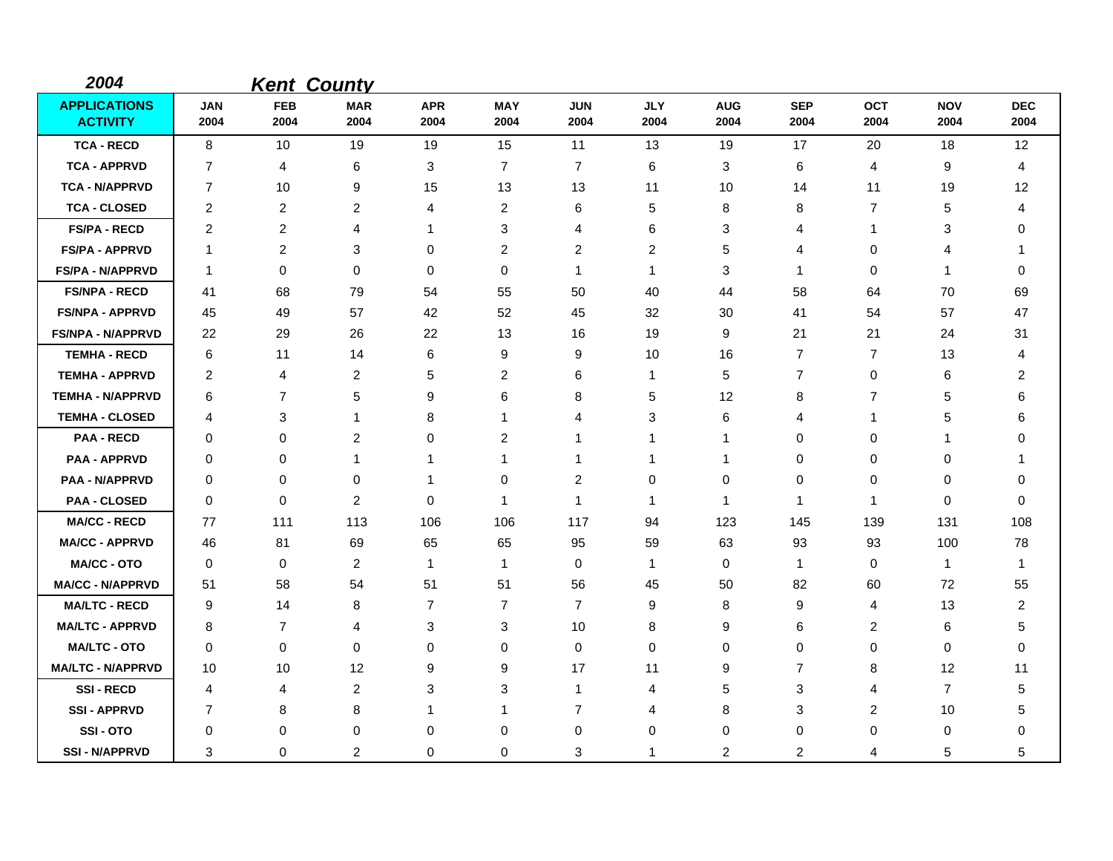| 2004                                   |                    | <b>Kent County</b> |                    |                    |                    |                    |                    |                    |                    |                    |                    |                         |
|----------------------------------------|--------------------|--------------------|--------------------|--------------------|--------------------|--------------------|--------------------|--------------------|--------------------|--------------------|--------------------|-------------------------|
| <b>APPLICATIONS</b><br><b>ACTIVITY</b> | <b>JAN</b><br>2004 | <b>FEB</b><br>2004 | <b>MAR</b><br>2004 | <b>APR</b><br>2004 | <b>MAY</b><br>2004 | <b>JUN</b><br>2004 | <b>JLY</b><br>2004 | <b>AUG</b><br>2004 | <b>SEP</b><br>2004 | <b>OCT</b><br>2004 | <b>NOV</b><br>2004 | <b>DEC</b><br>2004      |
| <b>TCA - RECD</b>                      | 8                  | 10                 | 19                 | 19                 | 15                 | 11                 | 13                 | 19                 | 17                 | 20                 | 18                 | 12                      |
| <b>TCA - APPRVD</b>                    | $\overline{7}$     | 4                  | 6                  | 3                  | $\overline{7}$     | $\overline{7}$     | 6                  | 3                  | 6                  | 4                  | 9                  | 4                       |
| <b>TCA - N/APPRVD</b>                  | 7                  | 10                 | 9                  | 15                 | 13                 | 13                 | 11                 | 10                 | 14                 | 11                 | 19                 | 12                      |
| <b>TCA - CLOSED</b>                    | 2                  | $\boldsymbol{2}$   | $\overline{c}$     | 4                  | $\overline{2}$     | 6                  | 5                  | 8                  | 8                  | $\overline{7}$     | 5                  | 4                       |
| <b>FS/PA - RECD</b>                    | $\overline{2}$     | 2                  | 4                  | 1                  | 3                  | 4                  | 6                  | 3                  | 4                  | $\mathbf 1$        | 3                  | 0                       |
| <b>FS/PA - APPRVD</b>                  | $\overline{1}$     | $\overline{c}$     | 3                  | 0                  | $\overline{2}$     | 2                  | 2                  | 5                  | 4                  | 0                  | 4                  | 1                       |
| <b>FS/PA - N/APPRVD</b>                | $\mathbf 1$        | 0                  | $\mathbf 0$        | 0                  | 0                  | $\mathbf{1}$       | $\mathbf{1}$       | 3                  | 1                  | 0                  | -1                 | 0                       |
| <b>FS/NPA - RECD</b>                   | 41                 | 68                 | 79                 | 54                 | 55                 | 50                 | 40                 | 44                 | 58                 | 64                 | 70                 | 69                      |
| <b>FS/NPA - APPRVD</b>                 | 45                 | 49                 | 57                 | 42                 | 52                 | 45                 | 32                 | 30                 | 41                 | 54                 | 57                 | 47                      |
| <b>FS/NPA - N/APPRVD</b>               | 22                 | 29                 | 26                 | 22                 | 13                 | 16                 | 19                 | 9                  | 21                 | 21                 | 24                 | 31                      |
| <b>TEMHA - RECD</b>                    | 6                  | 11                 | 14                 | 6                  | 9                  | 9                  | 10                 | 16                 | $\overline{7}$     | 7                  | 13                 | 4                       |
| <b>TEMHA - APPRVD</b>                  | 2                  | 4                  | $\overline{2}$     | 5                  | $\overline{2}$     | 6                  | 1                  | 5                  | $\overline{7}$     | 0                  | 6                  | 2                       |
| <b>TEMHA - N/APPRVD</b>                | 6                  | 7                  | 5                  | 9                  | 6                  | 8                  | 5                  | 12                 | 8                  | $\overline{7}$     | 5                  | 6                       |
| <b>TEMHA - CLOSED</b>                  | 4                  | 3                  | $\mathbf 1$        | 8                  | $\mathbf 1$        | 4                  | 3                  | 6                  | 4                  | 1                  | 5                  | 6                       |
| <b>PAA - RECD</b>                      | 0                  | 0                  | $\overline{c}$     | 0                  | $\overline{2}$     | 1                  | 1                  | 1                  | 0                  | 0                  | -1                 | 0                       |
| <b>PAA - APPRVD</b>                    | 0                  | 0                  | 1                  | 1                  | $\mathbf{1}$       | 1                  | 1                  | $\mathbf{1}$       | 0                  | 0                  | 0                  | 1                       |
| <b>PAA - N/APPRVD</b>                  | $\mathbf 0$        | 0                  | $\pmb{0}$          | -1                 | 0                  | $\overline{c}$     | 0                  | 0                  | $\mathbf 0$        | 0                  | 0                  | 0                       |
| <b>PAA - CLOSED</b>                    | 0                  | 0                  | 2                  | 0                  | $\mathbf 1$        | 1                  | $\mathbf{1}$       | $\mathbf{1}$       | $\mathbf 1$        | $\mathbf{1}$       | 0                  | 0                       |
| <b>MA/CC - RECD</b>                    | 77                 | 111                | 113                | 106                | 106                | 117                | 94                 | 123                | 145                | 139                | 131                | 108                     |
| <b>MA/CC - APPRVD</b>                  | 46                 | 81                 | 69                 | 65                 | 65                 | 95                 | 59                 | 63                 | 93                 | 93                 | 100                | 78                      |
| <b>MA/CC - OTO</b>                     | 0                  | 0                  | 2                  | $\mathbf{1}$       | $\mathbf 1$        | 0                  | $\mathbf{1}$       | 0                  | $\mathbf 1$        | 0                  | $\mathbf{1}$       | $\mathbf 1$             |
| <b>MA/CC - N/APPRVD</b>                | 51                 | 58                 | 54                 | 51                 | 51                 | 56                 | 45                 | 50                 | 82                 | 60                 | 72                 | 55                      |
| <b>MA/LTC - RECD</b>                   | 9                  | 14                 | 8                  | 7                  | 7                  | $\overline{7}$     | 9                  | 8                  | 9                  | 4                  | 13                 | $\overline{\mathbf{c}}$ |
| <b>MA/LTC - APPRVD</b>                 | 8                  | $\overline{7}$     | 4                  | 3                  | 3                  | 10                 | 8                  | 9                  | 6                  | 2                  | 6                  | 5                       |
| <b>MA/LTC - OTO</b>                    | 0                  | 0                  | $\mathbf 0$        | 0                  | 0                  | 0                  | 0                  | 0                  | 0                  | 0                  | 0                  | 0                       |
| <b>MA/LTC - N/APPRVD</b>               | 10                 | 10                 | 12                 | 9                  | 9                  | 17                 | 11                 | 9                  | 7                  | 8                  | 12                 | 11                      |
| <b>SSI-RECD</b>                        | 4                  | 4                  | $\overline{2}$     | 3                  | 3                  | $\mathbf{1}$       | 4                  | 5                  | 3                  | 4                  | $\overline{7}$     | 5                       |
| <b>SSI-APPRVD</b>                      | 7                  | 8                  | 8                  | 1                  | $\mathbf 1$        | $\overline{7}$     | 4                  | 8                  | 3                  | 2                  | 10                 | 5                       |
| <b>SSI-OTO</b>                         | 0                  | 0                  | 0                  | 0                  | 0                  | 0                  | 0                  | 0                  | 0                  | 0                  | 0                  | 0                       |
| <b>SSI-N/APPRVD</b>                    | 3                  | 0                  | $\overline{2}$     | $\Omega$           | 0                  | 3                  | $\mathbf 1$        | 2                  | $\overline{2}$     | 4                  | 5                  | 5                       |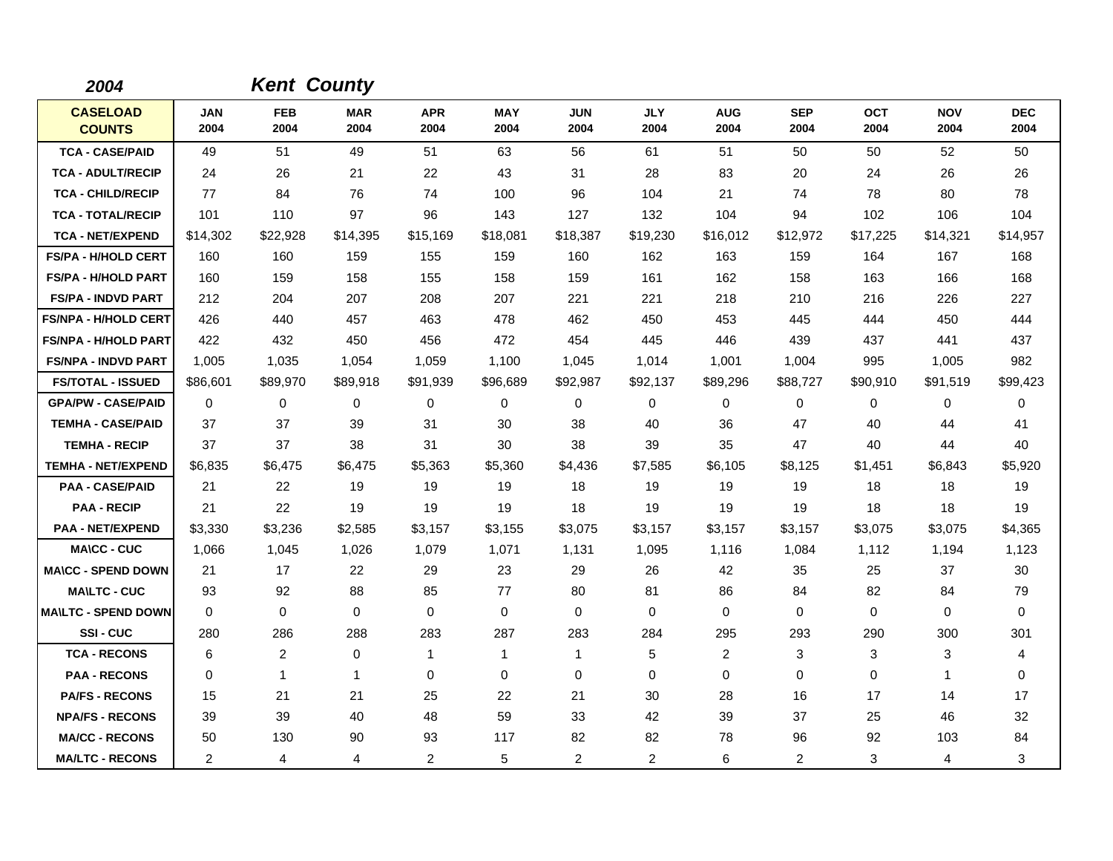| 2004                             |                    | <b>Kent County</b> |                    |                    |                    |                    |                    |                    |                    |                    |                    |                    |
|----------------------------------|--------------------|--------------------|--------------------|--------------------|--------------------|--------------------|--------------------|--------------------|--------------------|--------------------|--------------------|--------------------|
| <b>CASELOAD</b><br><b>COUNTS</b> | <b>JAN</b><br>2004 | <b>FEB</b><br>2004 | <b>MAR</b><br>2004 | <b>APR</b><br>2004 | <b>MAY</b><br>2004 | <b>JUN</b><br>2004 | <b>JLY</b><br>2004 | <b>AUG</b><br>2004 | <b>SEP</b><br>2004 | <b>OCT</b><br>2004 | <b>NOV</b><br>2004 | <b>DEC</b><br>2004 |
| <b>TCA - CASE/PAID</b>           | 49                 | 51                 | 49                 | 51                 | 63                 | 56                 | 61                 | 51                 | 50                 | 50                 | 52                 | 50                 |
| <b>TCA - ADULT/RECIP</b>         | 24                 | 26                 | 21                 | 22                 | 43                 | 31                 | 28                 | 83                 | 20                 | 24                 | 26                 | 26                 |
| <b>TCA - CHILD/RECIP</b>         | 77                 | 84                 | 76                 | 74                 | 100                | 96                 | 104                | 21                 | 74                 | 78                 | 80                 | 78                 |
| <b>TCA - TOTAL/RECIP</b>         | 101                | 110                | 97                 | 96                 | 143                | 127                | 132                | 104                | 94                 | 102                | 106                | 104                |
| <b>TCA - NET/EXPEND</b>          | \$14,302           | \$22,928           | \$14,395           | \$15,169           | \$18,081           | \$18,387           | \$19,230           | \$16,012           | \$12,972           | \$17,225           | \$14,321           | \$14,957           |
| FS/PA - H/HOLD CERT              | 160                | 160                | 159                | 155                | 159                | 160                | 162                | 163                | 159                | 164                | 167                | 168                |
| <b>FS/PA - H/HOLD PART</b>       | 160                | 159                | 158                | 155                | 158                | 159                | 161                | 162                | 158                | 163                | 166                | 168                |
| <b>FS/PA - INDVD PART</b>        | 212                | 204                | 207                | 208                | 207                | 221                | 221                | 218                | 210                | 216                | 226                | 227                |
| <b>FS/NPA - H/HOLD CERT</b>      | 426                | 440                | 457                | 463                | 478                | 462                | 450                | 453                | 445                | 444                | 450                | 444                |
| <b>FS/NPA - H/HOLD PART</b>      | 422                | 432                | 450                | 456                | 472                | 454                | 445                | 446                | 439                | 437                | 441                | 437                |
| <b>FS/NPA - INDVD PART</b>       | 1,005              | 1.035              | 1,054              | 1,059              | 1,100              | 1,045              | 1,014              | 1,001              | 1,004              | 995                | 1,005              | 982                |
| <b>FS/TOTAL - ISSUED</b>         | \$86,601           | \$89,970           | \$89,918           | \$91,939           | \$96,689           | \$92,987           | \$92,137           | \$89,296           | \$88,727           | \$90,910           | \$91,519           | \$99,423           |
| <b>GPA/PW - CASE/PAID</b>        | 0                  | 0                  | 0                  | 0                  | $\mathbf 0$        | 0                  | 0                  | 0                  | 0                  | 0                  | 0                  | 0                  |
| <b>TEMHA - CASE/PAID</b>         | 37                 | 37                 | 39                 | 31                 | 30                 | 38                 | 40                 | 36                 | 47                 | 40                 | 44                 | 41                 |
| <b>TEMHA - RECIP</b>             | 37                 | 37                 | 38                 | 31                 | 30                 | 38                 | 39                 | 35                 | 47                 | 40                 | 44                 | 40                 |
| <b>TEMHA - NET/EXPEND</b>        | \$6,835            | \$6,475            | \$6,475            | \$5,363            | \$5,360            | \$4,436            | \$7,585            | \$6,105            | \$8,125            | \$1,451            | \$6,843            | \$5,920            |
| <b>PAA - CASE/PAID</b>           | 21                 | 22                 | 19                 | 19                 | 19                 | 18                 | 19                 | 19                 | 19                 | 18                 | 18                 | 19                 |
| <b>PAA - RECIP</b>               | 21                 | 22                 | 19                 | 19                 | 19                 | 18                 | 19                 | 19                 | 19                 | 18                 | 18                 | 19                 |
| <b>PAA - NET/EXPEND</b>          | \$3,330            | \$3,236            | \$2,585            | \$3,157            | \$3,155            | \$3,075            | \$3,157            | \$3,157            | \$3,157            | \$3,075            | \$3,075            | \$4,365            |
| <b>MA\CC - CUC</b>               | 1,066              | 1,045              | 1,026              | 1,079              | 1,071              | 1,131              | 1,095              | 1,116              | 1,084              | 1,112              | 1,194              | 1,123              |
| <b>MA\CC - SPEND DOWN</b>        | 21                 | 17                 | 22                 | 29                 | 23                 | 29                 | 26                 | 42                 | 35                 | 25                 | 37                 | 30                 |
| <b>MAILTC - CUC</b>              | 93                 | 92                 | 88                 | 85                 | 77                 | 80                 | 81                 | 86                 | 84                 | 82                 | 84                 | 79                 |
| <b>MA\LTC - SPEND DOWN</b>       | $\mathbf 0$        | 0                  | $\mathbf 0$        | $\mathbf 0$        | $\mathbf 0$        | $\mathbf 0$        | 0                  | $\mathbf 0$        | $\mathbf 0$        | 0                  | 0                  | 0                  |
| <b>SSI-CUC</b>                   | 280                | 286                | 288                | 283                | 287                | 283                | 284                | 295                | 293                | 290                | 300                | 301                |
| <b>TCA - RECONS</b>              | 6                  | 2                  | $\mathbf 0$        | $\mathbf{1}$       | $\mathbf{1}$       | $\mathbf{1}$       | 5                  | $\overline{c}$     | 3                  | 3                  | 3                  | 4                  |
| <b>PAA - RECONS</b>              | 0                  | $\mathbf{1}$       | $\mathbf{1}$       | $\mathbf 0$        | 0                  | $\mathbf 0$        | 0                  | 0                  | $\mathbf 0$        | 0                  | $\mathbf{1}$       | 0                  |
| <b>PA/FS - RECONS</b>            | 15                 | 21                 | 21                 | 25                 | 22                 | 21                 | 30                 | 28                 | 16                 | 17                 | 14                 | 17                 |
| <b>NPA/FS - RECONS</b>           | 39                 | 39                 | 40                 | 48                 | 59                 | 33                 | 42                 | 39                 | 37                 | 25                 | 46                 | 32                 |
| <b>MA/CC - RECONS</b>            | 50                 | 130                | 90                 | 93                 | 117                | 82                 | 82                 | 78                 | 96                 | 92                 | 103                | 84                 |
| <b>MA/LTC - RECONS</b>           | 2                  | 4                  | 4                  | 2                  | 5                  | $\overline{c}$     | $\overline{2}$     | 6                  | $\overline{c}$     | 3                  | 4                  | 3                  |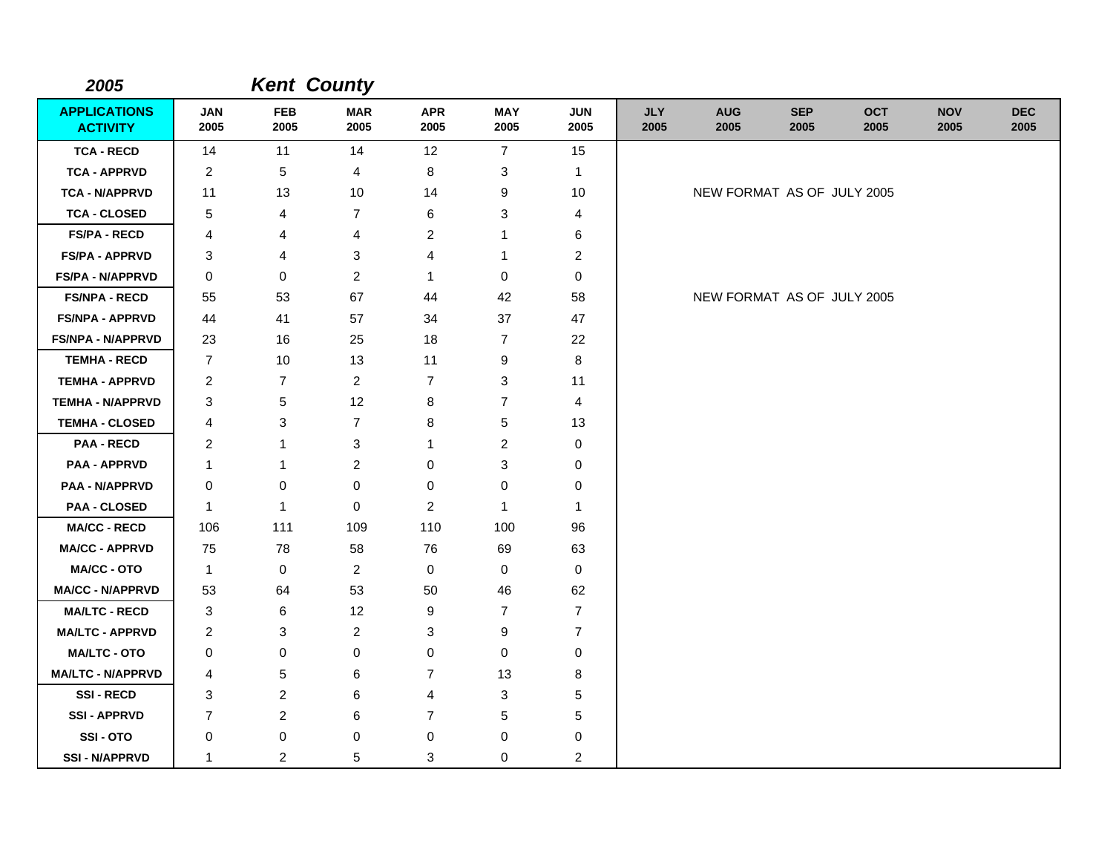| 2005                                   |                         |                    | <b>Kent County</b> |                    |                           |                    |                    |                            |                    |                    |                    |                    |
|----------------------------------------|-------------------------|--------------------|--------------------|--------------------|---------------------------|--------------------|--------------------|----------------------------|--------------------|--------------------|--------------------|--------------------|
| <b>APPLICATIONS</b><br><b>ACTIVITY</b> | <b>JAN</b><br>2005      | <b>FEB</b><br>2005 | <b>MAR</b><br>2005 | <b>APR</b><br>2005 | <b>MAY</b><br>2005        | <b>JUN</b><br>2005 | <b>JLY</b><br>2005 | <b>AUG</b><br>2005         | <b>SEP</b><br>2005 | <b>OCT</b><br>2005 | <b>NOV</b><br>2005 | <b>DEC</b><br>2005 |
| <b>TCA - RECD</b>                      | 14                      | 11                 | 14                 | 12                 | $\overline{7}$            | 15                 |                    |                            |                    |                    |                    |                    |
| <b>TCA - APPRVD</b>                    | $\overline{c}$          | 5                  | 4                  | 8                  | 3                         | 1                  |                    |                            |                    |                    |                    |                    |
| <b>TCA - N/APPRVD</b>                  | 11                      | 13                 | 10                 | 14                 | 9                         | 10                 |                    | NEW FORMAT AS OF JULY 2005 |                    |                    |                    |                    |
| <b>TCA - CLOSED</b>                    | 5                       | 4                  | $\overline{7}$     | 6                  | 3                         | 4                  |                    |                            |                    |                    |                    |                    |
| <b>FS/PA - RECD</b>                    | 4                       | 4                  | 4                  | $\overline{2}$     | 1                         | 6                  |                    |                            |                    |                    |                    |                    |
| <b>FS/PA - APPRVD</b>                  | 3                       | 4                  | 3                  | 4                  | 1                         | $\overline{c}$     |                    |                            |                    |                    |                    |                    |
| FS/PA - N/APPRVD                       | 0                       | 0                  | $\overline{c}$     | $\mathbf 1$        | 0                         | 0                  |                    |                            |                    |                    |                    |                    |
| <b>FS/NPA - RECD</b>                   | 55                      | 53                 | 67                 | 44                 | 42                        | 58                 |                    | NEW FORMAT AS OF JULY 2005 |                    |                    |                    |                    |
| <b>FS/NPA - APPRVD</b>                 | 44                      | 41                 | 57                 | 34                 | 37                        | 47                 |                    |                            |                    |                    |                    |                    |
| <b>FS/NPA - N/APPRVD</b>               | 23                      | 16                 | 25                 | 18                 | $\overline{7}$            | 22                 |                    |                            |                    |                    |                    |                    |
| <b>TEMHA - RECD</b>                    | $\overline{7}$          | 10                 | 13                 | 11                 | 9                         | 8                  |                    |                            |                    |                    |                    |                    |
| <b>TEMHA - APPRVD</b>                  | $\overline{\mathbf{c}}$ | $\overline{7}$     | $\overline{a}$     | $\overline{7}$     | 3                         | 11                 |                    |                            |                    |                    |                    |                    |
| <b>TEMHA - N/APPRVD</b>                | 3                       | $\,$ 5 $\,$        | 12                 | 8                  | $\overline{7}$            | $\overline{4}$     |                    |                            |                    |                    |                    |                    |
| <b>TEMHA - CLOSED</b>                  | 4                       | 3                  | $\overline{7}$     | 8                  | 5                         | 13                 |                    |                            |                    |                    |                    |                    |
| <b>PAA - RECD</b>                      | $\overline{\mathbf{c}}$ | 1                  | 3                  | 1                  | $\overline{c}$            | $\pmb{0}$          |                    |                            |                    |                    |                    |                    |
| <b>PAA - APPRVD</b>                    | 1                       | 1                  | $\mathbf 2$        | $\pmb{0}$          | $\ensuremath{\mathsf{3}}$ | $\,0\,$            |                    |                            |                    |                    |                    |                    |
| <b>PAA - N/APPRVD</b>                  | 0                       | $\pmb{0}$          | 0                  | $\pmb{0}$          | 0                         | $\mathbf 0$        |                    |                            |                    |                    |                    |                    |
| <b>PAA - CLOSED</b>                    | 1                       | $\mathbf{1}$       | $\mathbf 0$        | $\overline{2}$     | $\mathbf{1}$              | $\mathbf{1}$       |                    |                            |                    |                    |                    |                    |
| <b>MA/CC - RECD</b>                    | 106                     | 111                | 109                | 110                | 100                       | 96                 |                    |                            |                    |                    |                    |                    |
| <b>MA/CC - APPRVD</b>                  | 75                      | 78                 | 58                 | 76                 | 69                        | 63                 |                    |                            |                    |                    |                    |                    |
| MA/CC - OTO                            | $\mathbf{1}$            | 0                  | $\overline{c}$     | 0                  | 0                         | $\mathbf 0$        |                    |                            |                    |                    |                    |                    |
| <b>MA/CC - N/APPRVD</b>                | 53                      | 64                 | 53                 | 50                 | 46                        | 62                 |                    |                            |                    |                    |                    |                    |
| <b>MA/LTC - RECD</b>                   | 3                       | 6                  | 12                 | 9                  | $\overline{7}$            | $\overline{7}$     |                    |                            |                    |                    |                    |                    |
| <b>MA/LTC - APPRVD</b>                 | 2                       | 3                  | 2                  | 3                  | 9                         | $\overline{7}$     |                    |                            |                    |                    |                    |                    |
| <b>MA/LTC - OTO</b>                    | 0                       | 0                  | 0                  | 0                  | 0                         | 0                  |                    |                            |                    |                    |                    |                    |
| <b>MA/LTC - N/APPRVD</b>               | 4                       | 5                  | 6                  | $\overline{7}$     | 13                        | 8                  |                    |                            |                    |                    |                    |                    |
| <b>SSI-RECD</b>                        | 3                       | $\overline{c}$     | 6                  | 4                  | 3                         | $\mathbf 5$        |                    |                            |                    |                    |                    |                    |
| <b>SSI-APPRVD</b>                      | $\overline{7}$          | 2                  | 6                  | $\overline{7}$     | 5                         | $\sqrt{5}$         |                    |                            |                    |                    |                    |                    |
| SSI-OTO                                | 0                       | $\pmb{0}$          | 0                  | $\mathbf 0$        | 0                         | 0                  |                    |                            |                    |                    |                    |                    |
| <b>SSI - N/APPRVD</b>                  | 1                       | $\overline{2}$     | 5                  | 3                  | 0                         | $\overline{c}$     |                    |                            |                    |                    |                    |                    |